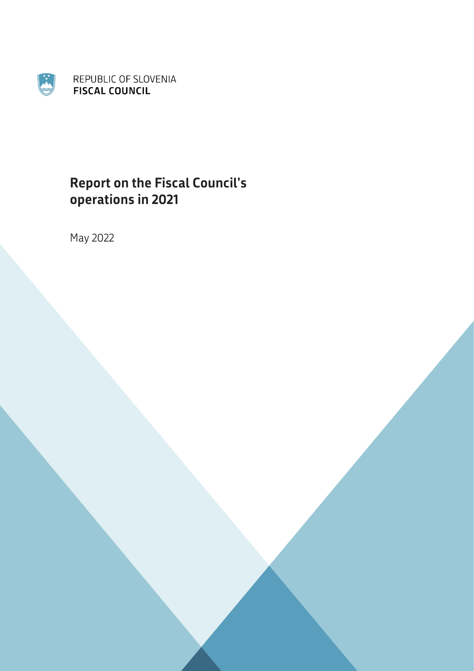

# **Report on the Fiscal Council's operations in 2021**

May 2022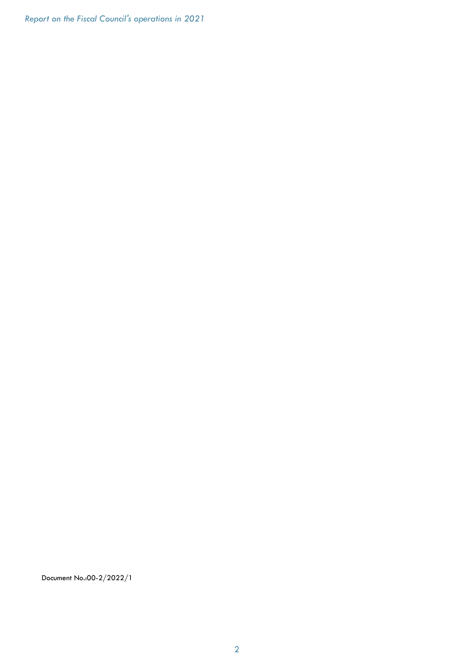Report on the Fiscal Council's operations in 2021

Document No.:00-2/2022/1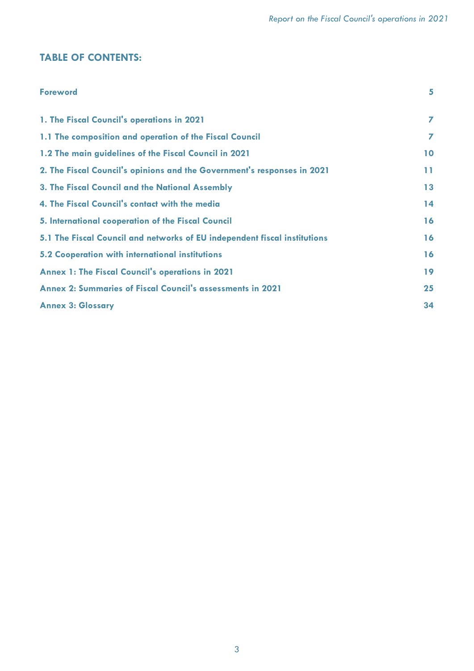# TABLE OF CONTENTS:

| <b>Foreword</b>                                                           | 5  |
|---------------------------------------------------------------------------|----|
| 1. The Fiscal Council's operations in 2021                                | 7  |
| 1.1 The composition and operation of the Fiscal Council                   | 7  |
| 1.2 The main guidelines of the Fiscal Council in 2021                     | 10 |
| 2. The Fiscal Council's opinions and the Government's responses in 2021   | 11 |
| 3. The Fiscal Council and the National Assembly                           | 13 |
| 4. The Fiscal Council's contact with the media                            | 14 |
| 5. International cooperation of the Fiscal Council                        | 16 |
| 5.1 The Fiscal Council and networks of EU independent fiscal institutions | 16 |
| 5.2 Cooperation with international institutions                           | 16 |
| <b>Annex 1: The Fiscal Council's operations in 2021</b>                   | 19 |
| <b>Annex 2: Summaries of Fiscal Council's assessments in 2021</b>         | 25 |
| <b>Annex 3: Glossary</b>                                                  | 34 |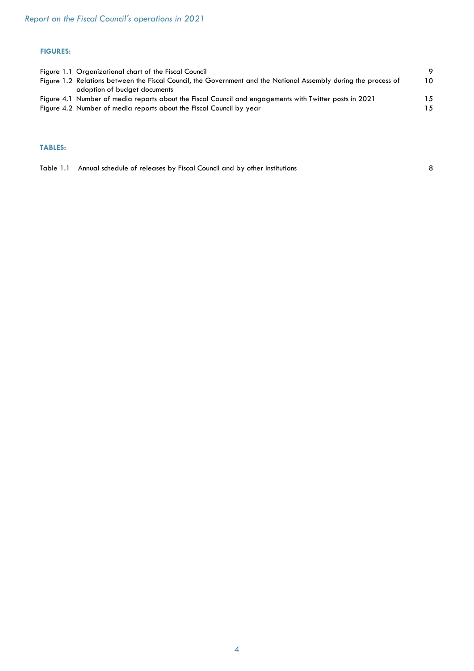#### FIGURES:

| Figure 1.1 Organizational chart of the Fiscal Council                                                           | -9  |
|-----------------------------------------------------------------------------------------------------------------|-----|
| Figure 1.2 Relations between the Fiscal Council, the Government and the National Assembly during the process of | 10  |
| adoption of budget documents                                                                                    |     |
| Figure 4.1 Number of media reports about the Fiscal Council and engagements with Twitter posts in 2021          | 15  |
| Figure 4.2 Number of media reports about the Fiscal Council by year                                             | 1.5 |
|                                                                                                                 |     |

#### TABLES:

|  | Table 1.1 Annual schedule of releases by Fiscal Council and by other institutions |  |
|--|-----------------------------------------------------------------------------------|--|
|--|-----------------------------------------------------------------------------------|--|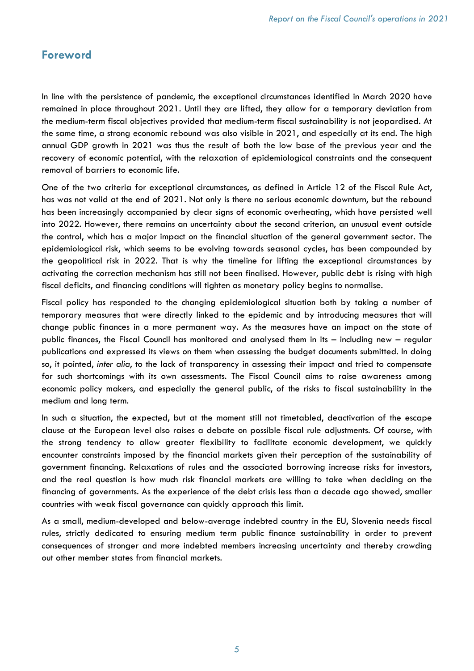# Foreword

In line with the persistence of pandemic, the exceptional circumstances identified in March 2020 have remained in place throughout 2021. Until they are lifted, they allow for a temporary deviation from the medium-term fiscal objectives provided that medium-term fiscal sustainability is not jeopardised. At the same time, a strong economic rebound was also visible in 2021, and especially at its end. The high annual GDP growth in 2021 was thus the result of both the low base of the previous year and the recovery of economic potential, with the relaxation of epidemiological constraints and the consequent removal of barriers to economic life.

One of the two criteria for exceptional circumstances, as defined in Article 12 of the Fiscal Rule Act, has was not valid at the end of 2021. Not only is there no serious economic downturn, but the rebound has been increasingly accompanied by clear signs of economic overheating, which have persisted well into 2022. However, there remains an uncertainty about the second criterion, an unusual event outside the control, which has a major impact on the financial situation of the general government sector. The epidemiological risk, which seems to be evolving towards seasonal cycles, has been compounded by the geopolitical risk in 2022. That is why the timeline for lifting the exceptional circumstances by activating the correction mechanism has still not been finalised. However, public debt is rising with high fiscal deficits, and financing conditions will tighten as monetary policy begins to normalise.

Fiscal policy has responded to the changing epidemiological situation both by taking a number of temporary measures that were directly linked to the epidemic and by introducing measures that will change public finances in a more permanent way. As the measures have an impact on the state of public finances, the Fiscal Council has monitored and analysed them in its – including new – regular publications and expressed its views on them when assessing the budget documents submitted. In doing so, it pointed, inter alia, to the lack of transparency in assessing their impact and tried to compensate for such shortcomings with its own assessments. The Fiscal Council aims to raise awareness among economic policy makers, and especially the general public, of the risks to fiscal sustainability in the medium and long term.

In such a situation, the expected, but at the moment still not timetabled, deactivation of the escape clause at the European level also raises a debate on possible fiscal rule adjustments. Of course, with the strong tendency to allow greater flexibility to facilitate economic development, we quickly encounter constraints imposed by the financial markets given their perception of the sustainability of government financing. Relaxations of rules and the associated borrowing increase risks for investors, and the real question is how much risk financial markets are willing to take when deciding on the financing of governments. As the experience of the debt crisis less than a decade ago showed, smaller countries with weak fiscal governance can quickly approach this limit.

As a small, medium-developed and below-average indebted country in the EU, Slovenia needs fiscal rules, strictly dedicated to ensuring medium term public finance sustainability in order to prevent consequences of stronger and more indebted members increasing uncertainty and thereby crowding out other member states from financial markets.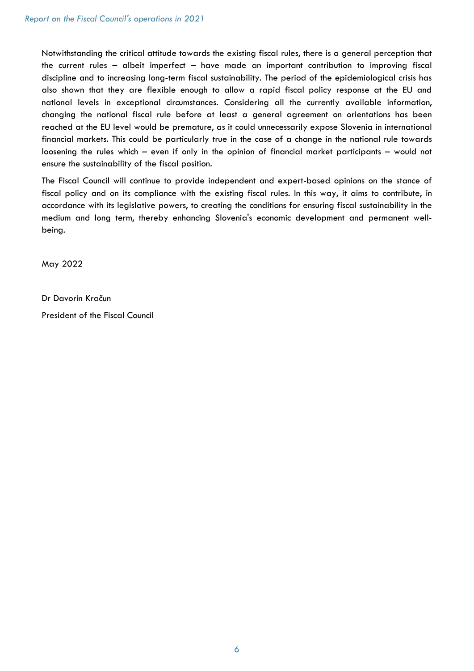Notwithstanding the critical attitude towards the existing fiscal rules, there is a general perception that the current rules – albeit imperfect – have made an important contribution to improving fiscal discipline and to increasing long-term fiscal sustainability. The period of the epidemiological crisis has also shown that they are flexible enough to allow a rapid fiscal policy response at the EU and national levels in exceptional circumstances. Considering all the currently available information, changing the national fiscal rule before at least a general agreement on orientations has been reached at the EU level would be premature, as it could unnecessarily expose Slovenia in international financial markets. This could be particularly true in the case of a change in the national rule towards loosening the rules which – even if only in the opinion of financial market participants – would not ensure the sustainability of the fiscal position.

The Fiscal Council will continue to provide independent and expert-based opinions on the stance of fiscal policy and on its compliance with the existing fiscal rules. In this way, it aims to contribute, in accordance with its legislative powers, to creating the conditions for ensuring fiscal sustainability in the medium and long term, thereby enhancing Slovenia's economic development and permanent wellbeing.

May 2022

Dr Davorin Kračun

President of the Fiscal Council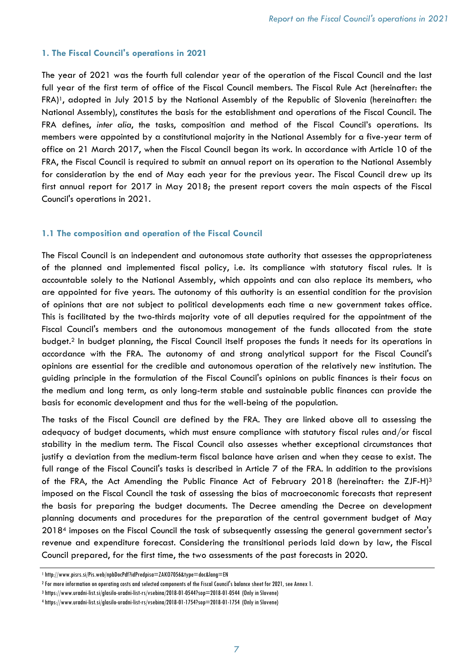#### 1. The Fiscal Council's operations in 2021

The year of 2021 was the fourth full calendar year of the operation of the Fiscal Council and the last full year of the first term of office of the Fiscal Council members. The Fiscal Rule Act (hereinafter: the FRA)1, adopted in July 2015 by the National Assembly of the Republic of Slovenia (hereinafter: the National Assembly), constitutes the basis for the establishment and operations of the Fiscal Council. The FRA defines, inter alia, the tasks, composition and method of the Fiscal Council's operations. Its members were appointed by a constitutional majority in the National Assembly for a five-year term of office on 21 March 2017, when the Fiscal Council began its work. In accordance with Article 10 of the FRA, the Fiscal Council is required to submit an annual report on its operation to the National Assembly for consideration by the end of May each year for the previous year. The Fiscal Council drew up its first annual report for 2017 in May 2018; the present report covers the main aspects of the Fiscal Council's operations in 2021.

#### 1.1 The composition and operation of the Fiscal Council

The Fiscal Council is an independent and autonomous state authority that assesses the appropriateness of the planned and implemented fiscal policy, i.e. its compliance with statutory fiscal rules. It is accountable solely to the National Assembly, which appoints and can also replace its members, who are appointed for five years. The autonomy of this authority is an essential condition for the provision of opinions that are not subject to political developments each time a new government takes office. This is facilitated by the two-thirds majority vote of all deputies required for the appointment of the Fiscal Council's members and the autonomous management of the funds allocated from the state budget.<sup>2</sup> In budget planning, the Fiscal Council itself proposes the funds it needs for its operations in accordance with the FRA. The autonomy of and strong analytical support for the Fiscal Council's opinions are essential for the credible and autonomous operation of the relatively new institution. The guiding principle in the formulation of the Fiscal Council's opinions on public finances is their focus on the medium and long term, as only long-term stable and sustainable public finances can provide the basis for economic development and thus for the well-being of the population.

The tasks of the Fiscal Council are defined by the FRA. They are linked above all to assessing the adequacy of budget documents, which must ensure compliance with statutory fiscal rules and/or fiscal stability in the medium term. The Fiscal Council also assesses whether exceptional circumstances that justify a deviation from the medium-term fiscal balance have arisen and when they cease to exist. The full range of the Fiscal Council's tasks is described in Article 7 of the FRA. In addition to the provisions of the FRA, the Act Amending the Public Finance Act of February 2018 (hereinafter: the ZJF-H)<sup>3</sup> imposed on the Fiscal Council the task of assessing the bias of macroeconomic forecasts that represent the basis for preparing the budget documents. The Decree amending the Decree on development planning documents and procedures for the preparation of the central government budget of May 2018<sup>4</sup> imposes on the Fiscal Council the task of subsequently assessing the general government sector's revenue and expenditure forecast. Considering the transitional periods laid down by law, the Fiscal Council prepared, for the first time, the two assessments of the past forecasts in 2020.

<sup>&</sup>lt;sup>1</sup> http://www.pisrs.si/Pis.web/npbDocPdf?idPredpisa=ZAKO7056&type=doc&lang=EN

<sup>2</sup> For more information on operating costs and selected components of the Fiscal Council's balance sheet for 2021, see Annex 1.

<sup>3</sup> https://www.uradni-list.si/glasilo-uradni-list-rs/vsebina/2018-01-0544?sop=2018-01-0544 (Only in Slovene)

<sup>4</sup> https://www.uradni-list.si/glasilo-uradni-list-rs/vsebina/2018-01-1754?sop=2018-01-1754 (Only in Slovene)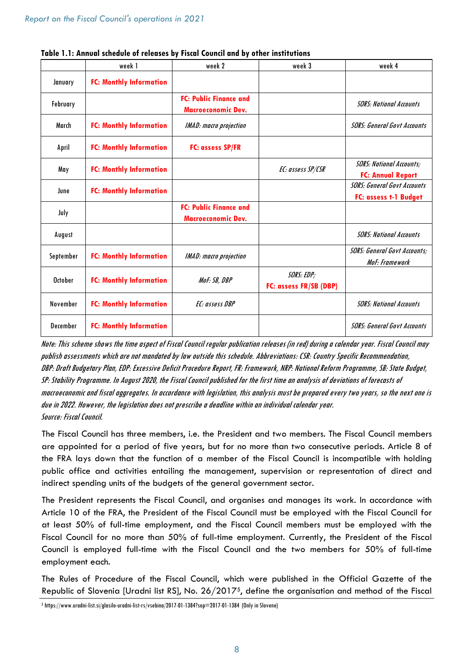|           | week 1                         | week 2                                                     | week 3                               | week 4                                                      |
|-----------|--------------------------------|------------------------------------------------------------|--------------------------------------|-------------------------------------------------------------|
| January   | <b>FC: Monthly Information</b> |                                                            |                                      |                                                             |
| February  |                                | <b>FC: Public Finance and</b><br><b>Macroeconomic Dev.</b> |                                      | <b>SORS: National Accounts</b>                              |
| March     | <b>FC: Monthly Information</b> | <b>IMAD</b> : macro projection                             |                                      | <b>SORS: General Govt Accounts</b>                          |
| April     | <b>FC: Monthly Information</b> | <b>FC: assess SP/FR</b>                                    |                                      |                                                             |
| May       | <b>FC: Monthly Information</b> |                                                            | EC: assess SP/CSR                    | <b>SORS: National Accounts;</b><br><b>FC: Annual Report</b> |
| June      | <b>FC: Monthly Information</b> |                                                            |                                      | <b>SORS: General Govt Accounts</b><br>FC: assess t-1 Budget |
| July      |                                | <b>FC: Public Finance and</b><br><b>Macroeconomic Dev.</b> |                                      |                                                             |
| August    |                                |                                                            |                                      | <b>SORS: National Accounts</b>                              |
| September | <b>FC: Monthly Information</b> | <b>IMAD</b> : macro projection                             |                                      | <b>SORS: General Govt Accounts;</b><br>MoF: Framework       |
| October   | <b>FC: Monthly Information</b> | MoF: SB, DBP                                               | SORS: EDP;<br>FC: assess FR/SB (DBP) |                                                             |
| November  | <b>FC: Monthly Information</b> | EC: assess DBP                                             |                                      | <b>SORS: National Accounts</b>                              |
| December  | <b>FC: Monthly Information</b> |                                                            |                                      | <b>SORS: General Govt Accounts</b>                          |

|  | Table 1.1: Annval schedule of releases by Fiscal Council and by other institutions |
|--|------------------------------------------------------------------------------------|
|--|------------------------------------------------------------------------------------|

Note: This scheme shows the time aspect of Fiscal Council regular publication releases (in red) during a calendar year. Fiscal Council may publish assessments which are not mandated by law outside this schedule. Abbreviations: CSR: Country Specific Recommendation, DBP: Draft Budgetary Plan, EDP: Excessive Deficit Procedure Report, FR: Framework, NRP: National Reform Programme, SB: State Budget, SP: Stability Programme. In August 2020, the Fiscal Council published for the first time an analysis of deviations of forecasts of macroeconomic and fiscal aggregates. In accordance with legislation, this analysis must be prepared every two years, so the next one is due in 2022. However, the legislation does not prescribe a deadline within an individual calendar year. Source: Fiscal Council.

The Fiscal Council has three members, i.e. the President and two members. The Fiscal Council members are appointed for a period of five years, but for no more than two consecutive periods. Article 8 of the FRA lays down that the function of a member of the Fiscal Council is incompatible with holding public office and activities entailing the management, supervision or representation of direct and indirect spending units of the budgets of the general government sector.

The President represents the Fiscal Council, and organises and manages its work. In accordance with Article 10 of the FRA, the President of the Fiscal Council must be employed with the Fiscal Council for at least 50% of full-time employment, and the Fiscal Council members must be employed with the Fiscal Council for no more than 50% of full-time employment. Currently, the President of the Fiscal Council is employed full-time with the Fiscal Council and the two members for 50% of full-time employment each.

The Rules of Procedure of the Fiscal Council, which were published in the Official Gazette of the Republic of Slovenia [Uradni list RS], No. 26/20175, define the organisation and method of the Fiscal

<sup>5</sup> https://www.uradni-list.si/glasilo-uradni-list-rs/vsebina/2017-01-1384?sop=2017-01-1384 (Only in Slovene)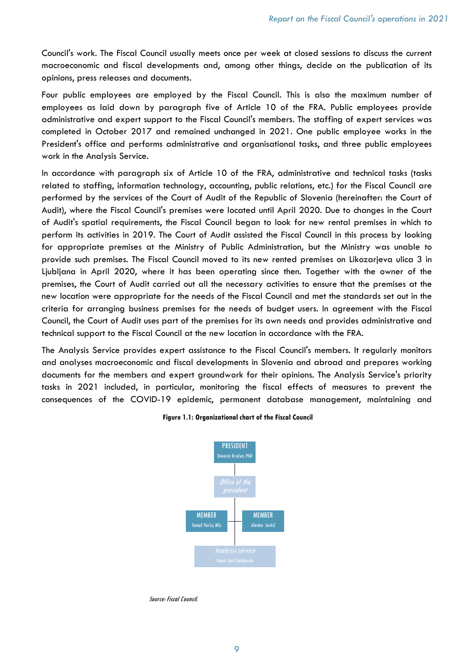Council's work. The Fiscal Council usually meets once per week at closed sessions to discuss the current macroeconomic and fiscal developments and, among other things, decide on the publication of its opinions, press releases and documents.

Four public employees are employed by the Fiscal Council. This is also the maximum number of employees as laid down by paragraph five of Article 10 of the FRA. Public employees provide administrative and expert support to the Fiscal Council's members. The staffing of expert services was completed in October 2017 and remained unchanged in 2021. One public employee works in the President's office and performs administrative and organisational tasks, and three public employees work in the Analysis Service.

In accordance with paragraph six of Article 10 of the FRA, administrative and technical tasks (tasks related to staffing, information technology, accounting, public relations, etc.) for the Fiscal Council are performed by the services of the Court of Audit of the Republic of Slovenia (hereinafter: the Court of Audit), where the Fiscal Council's premises were located until April 2020. Due to changes in the Court of Audit's spatial requirements, the Fiscal Council began to look for new rental premises in which to perform its activities in 2019. The Court of Audit assisted the Fiscal Council in this process by looking for appropriate premises at the Ministry of Public Administration, but the Ministry was unable to provide such premises. The Fiscal Council moved to its new rented premises on Likozarjeva ulica 3 in Ljubljana in April 2020, where it has been operating since then. Together with the owner of the premises, the Court of Audit carried out all the necessary activities to ensure that the premises at the new location were appropriate for the needs of the Fiscal Council and met the standards set out in the criteria for arranging business premises for the needs of budget users. In agreement with the Fiscal Council, the Court of Audit uses part of the premises for its own needs and provides administrative and technical support to the Fiscal Council at the new location in accordance with the FRA.

The Analysis Service provides expert assistance to the Fiscal Council's members. It regularly monitors and analyses macroeconomic and fiscal developments in Slovenia and abroad and prepares working documents for the members and expert groundwork for their opinions. The Analysis Service's priority tasks in 2021 included, in particular, monitoring the fiscal effects of measures to prevent the consequences of the COVID-19 epidemic, permanent database management, maintaining and



#### Figure 1.1: Organizational chart of the Fiscal Council

Source: Fiscal Council.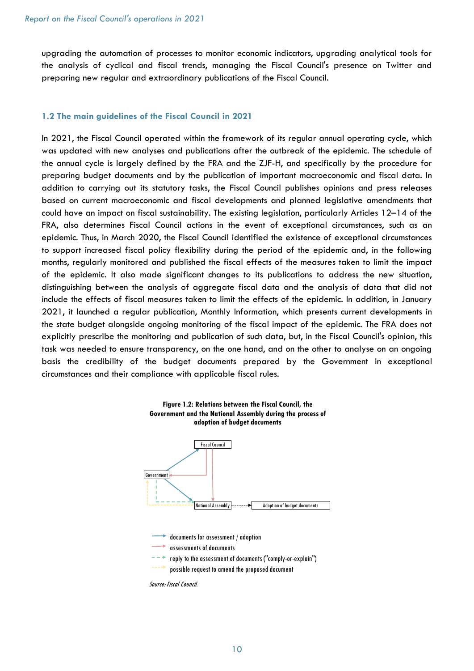upgrading the automation of processes to monitor economic indicators, upgrading analytical tools for the analysis of cyclical and fiscal trends, managing the Fiscal Council's presence on Twitter and preparing new regular and extraordinary publications of the Fiscal Council.

#### 1.2 The main guidelines of the Fiscal Council in 2021

In 2021, the Fiscal Council operated within the framework of its regular annual operating cycle, which was updated with new analyses and publications after the outbreak of the epidemic. The schedule of the annual cycle is largely defined by the FRA and the ZJF-H, and specifically by the procedure for preparing budget documents and by the publication of important macroeconomic and fiscal data. In addition to carrying out its statutory tasks, the Fiscal Council publishes opinions and press releases based on current macroeconomic and fiscal developments and planned legislative amendments that could have an impact on fiscal sustainability. The existing legislation, particularly Articles 12–14 of the FRA, also determines Fiscal Council actions in the event of exceptional circumstances, such as an epidemic. Thus, in March 2020, the Fiscal Council identified the existence of exceptional circumstances to support increased fiscal policy flexibility during the period of the epidemic and, in the following months, regularly monitored and published the fiscal effects of the measures taken to limit the impact of the epidemic. It also made significant changes to its publications to address the new situation, distinguishing between the analysis of aggregate fiscal data and the analysis of data that did not include the effects of fiscal measures taken to limit the effects of the epidemic. In addition, in January 2021, it launched a regular publication, Monthly Information, which presents current developments in the state budget alongside ongoing monitoring of the fiscal impact of the epidemic. The FRA does not explicitly prescribe the monitoring and publication of such data, but, in the Fiscal Council's opinion, this task was needed to ensure transparency, on the one hand, and on the other to analyse on an ongoing basis the credibility of the budget documents prepared by the Government in exceptional circumstances and their compliance with applicable fiscal rules.



Source: Fiscal Council.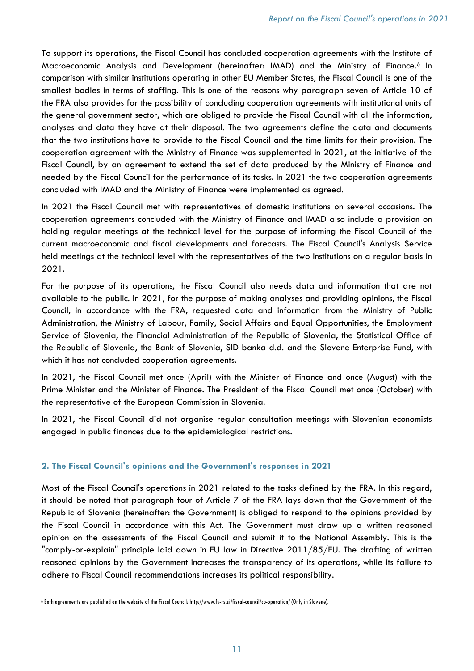To support its operations, the Fiscal Council has concluded cooperation agreements with the Institute of Macroeconomic Analysis and Development (hereinafter: IMAD) and the Ministry of Finance.<sup>6</sup> In comparison with similar institutions operating in other EU Member States, the Fiscal Council is one of the smallest bodies in terms of staffing. This is one of the reasons why paragraph seven of Article 10 of the FRA also provides for the possibility of concluding cooperation agreements with institutional units of the general government sector, which are obliged to provide the Fiscal Council with all the information, analyses and data they have at their disposal. The two agreements define the data and documents that the two institutions have to provide to the Fiscal Council and the time limits for their provision. The cooperation agreement with the Ministry of Finance was supplemented in 2021, at the initiative of the Fiscal Council, by an agreement to extend the set of data produced by the Ministry of Finance and needed by the Fiscal Council for the performance of its tasks. In 2021 the two cooperation agreements concluded with IMAD and the Ministry of Finance were implemented as agreed.

In 2021 the Fiscal Council met with representatives of domestic institutions on several occasions. The cooperation agreements concluded with the Ministry of Finance and IMAD also include a provision on holding regular meetings at the technical level for the purpose of informing the Fiscal Council of the current macroeconomic and fiscal developments and forecasts. The Fiscal Council's Analysis Service held meetings at the technical level with the representatives of the two institutions on a regular basis in 2021.

For the purpose of its operations, the Fiscal Council also needs data and information that are not available to the public. In 2021, for the purpose of making analyses and providing opinions, the Fiscal Council, in accordance with the FRA, requested data and information from the Ministry of Public Administration, the Ministry of Labour, Family, Social Affairs and Equal Opportunities, the Employment Service of Slovenia, the Financial Administration of the Republic of Slovenia, the Statistical Office of the Republic of Slovenia, the Bank of Slovenia, SID banka d.d. and the Slovene Enterprise Fund, with which it has not concluded cooperation agreements.

In 2021, the Fiscal Council met once (April) with the Minister of Finance and once (August) with the Prime Minister and the Minister of Finance. The President of the Fiscal Council met once (October) with the representative of the European Commission in Slovenia.

In 2021, the Fiscal Council did not organise regular consultation meetings with Slovenian economists engaged in public finances due to the epidemiological restrictions.

# 2. The Fiscal Council's opinions and the Government's responses in 2021

Most of the Fiscal Council's operations in 2021 related to the tasks defined by the FRA. In this regard, it should be noted that paragraph four of Article 7 of the FRA lays down that the Government of the Republic of Slovenia (hereinafter: the Government) is obliged to respond to the opinions provided by the Fiscal Council in accordance with this Act. The Government must draw up a written reasoned opinion on the assessments of the Fiscal Council and submit it to the National Assembly. This is the "comply-or-explain" principle laid down in EU law in Directive 2011/85/EU. The drafting of written reasoned opinions by the Government increases the transparency of its operations, while its failure to adhere to Fiscal Council recommendations increases its political responsibility.

<sup>6</sup> Both agreements are published on the website of the Fiscal Council: http://www.fs-rs.si/fiscal-council/co-operation/ (Only in Slovene).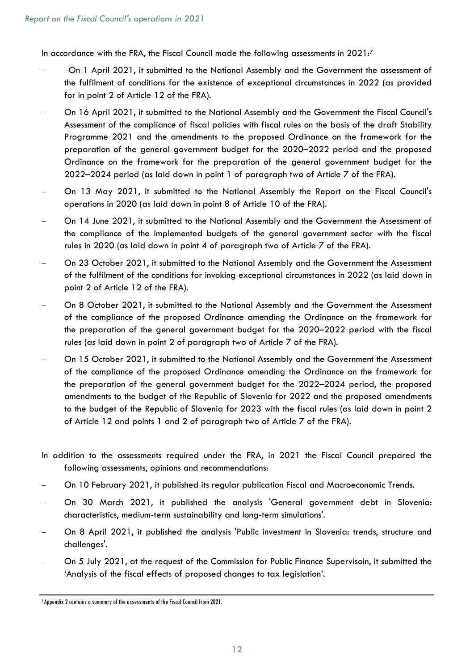In accordance with the FRA, the Fiscal Council made the following assessments in  $2021:7$ 

- -On 1 April 2021, it submitted to the National Assembly and the Government the assessment of the fulfilment of conditions for the existence of exceptional circumstances in 2022 (as provided for in point 2 of Article 12 of the FRA).
- On 16 April 2021, it submitted to the National Assembly and the Government the Fiscal Council's Assessment of the compliance of fiscal policies with fiscal rules on the basis of the draft Stability Programme 2021 and the amendments to the proposed Ordinance on the framework for the preparation of the general government budget for the 2020–2022 period and the proposed Ordinance on the framework for the preparation of the general government budget for the 2022–2024 period (as laid down in point 1 of paragraph two of Article 7 of the FRA).
- On 13 May 2021, it submitted to the National Assembly the Report on the Fiscal Council's operations in 2020 (as laid down in point 8 of Article 10 of the FRA).
- On 14 June 2021, it submitted to the National Assembly and the Government the Assessment of the compliance of the implemented budgets of the general government sector with the fiscal rules in 2020 (as laid down in point 4 of paragraph two of Article 7 of the FRA).
- On 23 October 2021, it submitted to the National Assembly and the Government the Assessment of the fulfilment of the conditions for invoking exceptional circumstances in 2022 (as laid down in point 2 of Article 12 of the FRA).
- On 8 October 2021, it submitted to the National Assembly and the Government the Assessment of the compliance of the proposed Ordinance amending the Ordinance on the framework for the preparation of the general government budget for the 2020–2022 period with the fiscal rules (as laid down in point 2 of paragraph two of Article 7 of the FRA).
- On 15 October 2021, it submitted to the National Assembly and the Government the Assessment of the compliance of the proposed Ordinance amending the Ordinance on the framework for the preparation of the general government budget for the 2022–2024 period, the proposed amendments to the budget of the Republic of Slovenia for 2022 and the proposed amendments to the budget of the Republic of Slovenia for 2023 with the fiscal rules (as laid down in point 2 of Article 12 and points 1 and 2 of paragraph two of Article 7 of the FRA).
- In addition to the assessments required under the FRA, in 2021 the Fiscal Council prepared the following assessments, opinions and recommendations:
- On 10 February 2021, it published its regular publication Fiscal and Macroeconomic Trends.
- On 30 March 2021, it published the analysis 'General government debt in Slovenia: characteristics, medium-term sustainability and long-term simulations'.
- On 8 April 2021, it published the analysis 'Public investment in Slovenia: trends, structure and challenges'.
- On 5 July 2021, at the request of the Commission for Public Finance Supervisoin, it submitted the 'Analysis of the fiscal effects of proposed changes to tax legislation'.

<sup>7</sup> Appendix 2 contains a summary of the assessments of the Fiscal Council from 2021.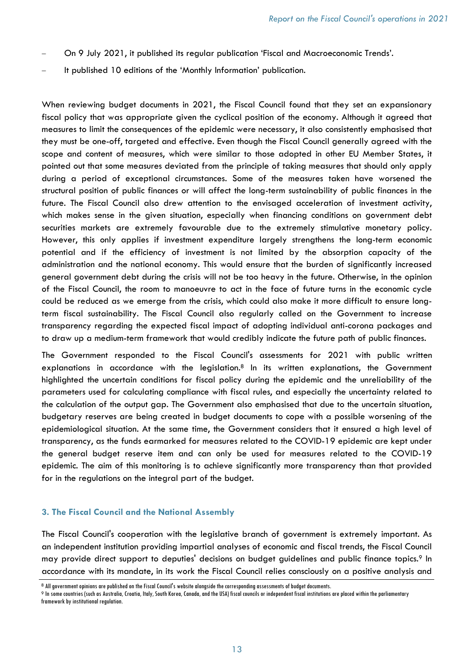- On 9 July 2021, it published its regular publication 'Fiscal and Macroeconomic Trends'.
- It published 10 editions of the 'Monthly Information' publication.

When reviewing budget documents in 2021, the Fiscal Council found that they set an expansionary fiscal policy that was appropriate given the cyclical position of the economy. Although it agreed that measures to limit the consequences of the epidemic were necessary, it also consistently emphasised that they must be one-off, targeted and effective. Even though the Fiscal Council generally agreed with the scope and content of measures, which were similar to those adopted in other EU Member States, it pointed out that some measures deviated from the principle of taking measures that should only apply during a period of exceptional circumstances. Some of the measures taken have worsened the structural position of public finances or will affect the long-term sustainability of public finances in the future. The Fiscal Council also drew attention to the envisaged acceleration of investment activity, which makes sense in the given situation, especially when financing conditions on government debt securities markets are extremely favourable due to the extremely stimulative monetary policy. However, this only applies if investment expenditure largely strengthens the long-term economic potential and if the efficiency of investment is not limited by the absorption capacity of the administration and the national economy. This would ensure that the burden of significantly increased general government debt during the crisis will not be too heavy in the future. Otherwise, in the opinion of the Fiscal Council, the room to manoeuvre to act in the face of future turns in the economic cycle could be reduced as we emerge from the crisis, which could also make it more difficult to ensure longterm fiscal sustainability. The Fiscal Council also regularly called on the Government to increase transparency regarding the expected fiscal impact of adopting individual anti-corona packages and to draw up a medium-term framework that would credibly indicate the future path of public finances.

The Government responded to the Fiscal Council's assessments for 2021 with public written explanations in accordance with the legislation.<sup>8</sup> In its written explanations, the Government highlighted the uncertain conditions for fiscal policy during the epidemic and the unreliability of the parameters used for calculating compliance with fiscal rules, and especially the uncertainty related to the calculation of the output gap. The Government also emphasised that due to the uncertain situation, budgetary reserves are being created in budget documents to cope with a possible worsening of the epidemiological situation. At the same time, the Government considers that it ensured a high level of transparency, as the funds earmarked for measures related to the COVID-19 epidemic are kept under the general budget reserve item and can only be used for measures related to the COVID-19 epidemic. The aim of this monitoring is to achieve significantly more transparency than that provided for in the regulations on the integral part of the budget.

#### 3. The Fiscal Council and the National Assembly

The Fiscal Council's cooperation with the legislative branch of government is extremely important. As an independent institution providing impartial analyses of economic and fiscal trends, the Fiscal Council may provide direct support to deputies' decisions on budget guidelines and public finance topics.<sup>9</sup> In accordance with its mandate, in its work the Fiscal Council relies consciously on a positive analysis and

<sup>8</sup>All government opinions are published on the Fiscal Council's website alongside the corresponding assessments of budget documents.

<sup>9</sup>In some countries (such as Australia, Croatia, Italy, South Korea, Canada, and the USA) fiscal councils or independent fiscal institutions are placed within the parliamentary framework by institutional regulation.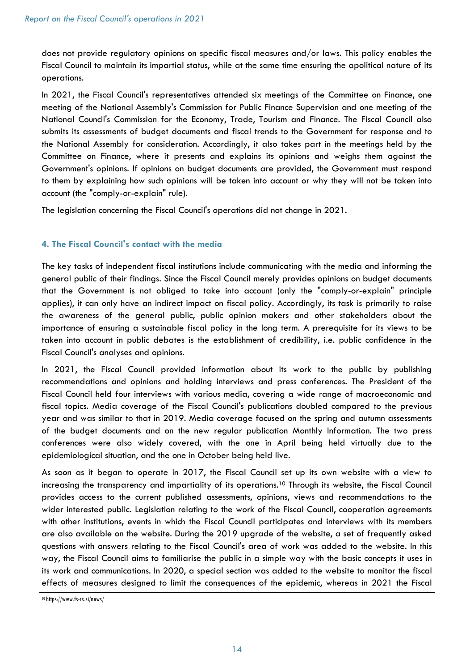does not provide regulatory opinions on specific fiscal measures and/or laws. This policy enables the Fiscal Council to maintain its impartial status, while at the same time ensuring the apolitical nature of its operations.

In 2021, the Fiscal Council's representatives attended six meetings of the Committee on Finance, one meeting of the National Assembly's Commission for Public Finance Supervision and one meeting of the National Council's Commission for the Economy, Trade, Tourism and Finance. The Fiscal Council also submits its assessments of budget documents and fiscal trends to the Government for response and to the National Assembly for consideration. Accordingly, it also takes part in the meetings held by the Committee on Finance, where it presents and explains its opinions and weighs them against the Government's opinions. If opinions on budget documents are provided, the Government must respond to them by explaining how such opinions will be taken into account or why they will not be taken into account (the "comply-or-explain" rule).

The legislation concerning the Fiscal Council's operations did not change in 2021.

# 4. The Fiscal Council's contact with the media

The key tasks of independent fiscal institutions include communicating with the media and informing the general public of their findings. Since the Fiscal Council merely provides opinions on budget documents that the Government is not obliged to take into account (only the "comply-or-explain" principle applies), it can only have an indirect impact on fiscal policy. Accordingly, its task is primarily to raise the awareness of the general public, public opinion makers and other stakeholders about the importance of ensuring a sustainable fiscal policy in the long term. A prerequisite for its views to be taken into account in public debates is the establishment of credibility, i.e. public confidence in the Fiscal Council's analyses and opinions.

In 2021, the Fiscal Council provided information about its work to the public by publishing recommendations and opinions and holding interviews and press conferences. The President of the Fiscal Council held four interviews with various media, covering a wide range of macroeconomic and fiscal topics. Media coverage of the Fiscal Council's publications doubled compared to the previous year and was similar to that in 2019. Media coverage focused on the spring and autumn assessments of the budget documents and on the new regular publication Monthly Information. The two press conferences were also widely covered, with the one in April being held virtually due to the epidemiological situation, and the one in October being held live.

As soon as it began to operate in 2017, the Fiscal Council set up its own website with a view to increasing the transparency and impartiality of its operations.<sup>10</sup> Through its website, the Fiscal Council provides access to the current published assessments, opinions, views and recommendations to the wider interested public. Legislation relating to the work of the Fiscal Council, cooperation agreements with other institutions, events in which the Fiscal Council participates and interviews with its members are also available on the website. During the 2019 upgrade of the website, a set of frequently asked questions with answers relating to the Fiscal Council's area of work was added to the website. In this way, the Fiscal Council aims to familiarise the public in a simple way with the basic concepts it uses in its work and communications. In 2020, a special section was added to the website to monitor the fiscal effects of measures designed to limit the consequences of the epidemic, whereas in 2021 the Fiscal

<sup>10</sup> https://www.fs-rs.si/news/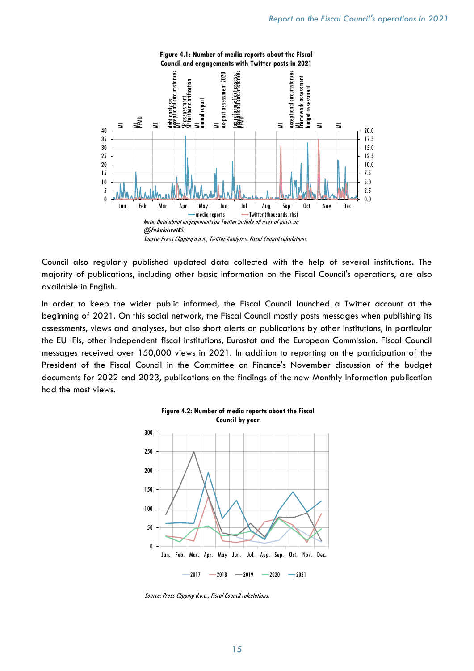

Council also regularly published updated data collected with the help of several institutions. The majority of publications, including other basic information on the Fiscal Council's operations, are also available in English.

In order to keep the wider public informed, the Fiscal Council launched a Twitter account at the beginning of 2021. On this social network, the Fiscal Council mostly posts messages when publishing its assessments, views and analyses, but also short alerts on publications by other institutions, in particular the EU IFIs, other independent fiscal institutions, Eurostat and the European Commission. Fiscal Council messages received over 150,000 views in 2021. In addition to reporting on the participation of the President of the Fiscal Council in the Committee on Finance's November discussion of the budget documents for 2022 and 2023, publications on the findings of the new Monthly Information publication had the most views.



Source: Press Clipping d.o.o., Fiscal Council calculations.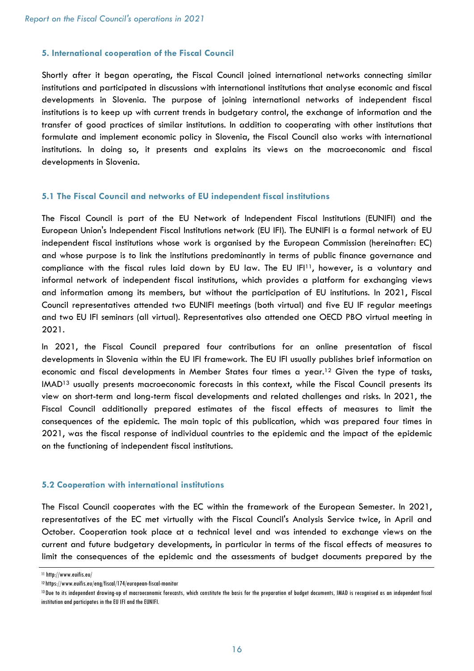#### 5. International cooperation of the Fiscal Council

Shortly after it began operating, the Fiscal Council joined international networks connecting similar institutions and participated in discussions with international institutions that analyse economic and fiscal developments in Slovenia. The purpose of joining international networks of independent fiscal institutions is to keep up with current trends in budgetary control, the exchange of information and the transfer of good practices of similar institutions. In addition to cooperating with other institutions that formulate and implement economic policy in Slovenia, the Fiscal Council also works with international institutions. In doing so, it presents and explains its views on the macroeconomic and fiscal developments in Slovenia.

#### 5.1 The Fiscal Council and networks of EU independent fiscal institutions

The Fiscal Council is part of the EU Network of Independent Fiscal Institutions (EUNIFI) and the European Union's Independent Fiscal Institutions network (EU IFI). The EUNIFI is a formal network of EU independent fiscal institutions whose work is organised by the European Commission (hereinafter: EC) and whose purpose is to link the institutions predominantly in terms of public finance governance and compliance with the fiscal rules laid down by EU law. The EU IFI<sup>11</sup>, however, is a voluntary and informal network of independent fiscal institutions, which provides a platform for exchanging views and information among its members, but without the participation of EU institutions. In 2021, Fiscal Council representatives attended two EUNIFI meetings (both virtual) and five EU IF regular meetings and two EU IFI seminars (all virtual). Representatives also attended one OECD PBO virtual meeting in 2021.

In 2021, the Fiscal Council prepared four contributions for an online presentation of fiscal developments in Slovenia within the EU IFI framework. The EU IFI usually publishes brief information on economic and fiscal developments in Member States four times a year.<sup>12</sup> Given the type of tasks, IMAD<sup>13</sup> usually presents macroeconomic forecasts in this context, while the Fiscal Council presents its view on short-term and long-term fiscal developments and related challenges and risks. In 2021, the Fiscal Council additionally prepared estimates of the fiscal effects of measures to limit the consequences of the epidemic. The main topic of this publication, which was prepared four times in 2021, was the fiscal response of individual countries to the epidemic and the impact of the epidemic on the functioning of independent fiscal institutions.

#### 5.2 Cooperation with international institutions

The Fiscal Council cooperates with the EC within the framework of the European Semester. In 2021, representatives of the EC met virtually with the Fiscal Council's Analysis Service twice, in April and October. Cooperation took place at a technical level and was intended to exchange views on the current and future budgetary developments, in particular in terms of the fiscal effects of measures to limit the consequences of the epidemic and the assessments of budget documents prepared by the

<sup>11</sup> http://www.euifis.eu/

<sup>12</sup>https://www.euifis.eu/eng/fiscal/174/european-fiscal-monitor

<sup>&</sup>lt;sup>13</sup>Due to its independent drawing-up of macroeconomic forecasts, which constitute the basis for the preparation of budget documents, IMAD is recognised as an independent fiscal institution and participates in the EU IFI and the EUNIFI.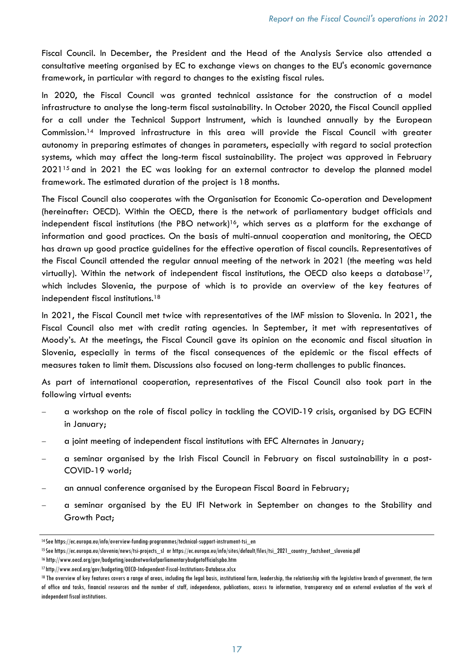Fiscal Council. In December, the President and the Head of the Analysis Service also attended a consultative meeting organised by EC to exchange views on changes to the EU's economic governance framework, in particular with regard to changes to the existing fiscal rules.

In 2020, the Fiscal Council was granted technical assistance for the construction of a model infrastructure to analyse the long-term fiscal sustainability. In October 2020, the Fiscal Council applied for a call under the Technical Support Instrument, which is launched annually by the European Commission.<sup>14</sup> Improved infrastructure in this area will provide the Fiscal Council with greater autonomy in preparing estimates of changes in parameters, especially with regard to social protection systems, which may affect the long-term fiscal sustainability. The project was approved in February 202115 and in 2021 the EC was looking for an external contractor to develop the planned model framework. The estimated duration of the project is 18 months.

The Fiscal Council also cooperates with the Organisation for Economic Co-operation and Development (hereinafter: OECD). Within the OECD, there is the network of parliamentary budget officials and independent fiscal institutions (the PBO network)<sup>16</sup>, which serves as a platform for the exchange of information and good practices. On the basis of multi-annual cooperation and monitoring, the OECD has drawn up good practice guidelines for the effective operation of fiscal councils. Representatives of the Fiscal Council attended the regular annual meeting of the network in 2021 (the meeting was held virtually). Within the network of independent fiscal institutions, the OECD also keeps a database17, which includes Slovenia, the purpose of which is to provide an overview of the key features of independent fiscal institutions.<sup>18</sup>

In 2021, the Fiscal Council met twice with representatives of the IMF mission to Slovenia. In 2021, the Fiscal Council also met with credit rating agencies. In September, it met with representatives of Moody's. At the meetings, the Fiscal Council gave its opinion on the economic and fiscal situation in Slovenia, especially in terms of the fiscal consequences of the epidemic or the fiscal effects of measures taken to limit them. Discussions also focused on long-term challenges to public finances.

As part of international cooperation, representatives of the Fiscal Council also took part in the following virtual events:

- a workshop on the role of fiscal policy in tackling the COVID-19 crisis, organised by DG ECFIN in January;
- a joint meeting of independent fiscal institutions with EFC Alternates in January;
- a seminar organised by the Irish Fiscal Council in February on fiscal sustainability in a post-COVID-19 world;
- an annual conference organised by the European Fiscal Board in February;
- a seminar organised by the EU IFI Network in September on changes to the Stability and Growth Pact;

<sup>14</sup>See https://ec.europa.eu/info/overview-funding-programmes/technical-support-instrument-tsi\_en

<sup>15</sup>See https://ec.europa.eu/slovenia/news/tsi-projects\_sl or https://ec.europa.eu/info/sites/default/files/tsi\_2021\_country\_factsheet\_slovenia.pdf

<sup>16</sup> http://www.oecd.org/gov/budgeting/oecdnetworkofparliamentarybudgetofficialspbo.htm

<sup>17</sup> http://www.oecd.org/gov/budgeting/OECD-Independent-Fiscal-Institutions-Database.xlsx

<sup>18</sup> The overview of key features covers a range of areas, including the legal basis, institutional form, leadership, the relationship with the legislative branch of government, the term of office and tasks, financial resources and the number of staff, independence, publications, access to information, transparency and an external evaluation of the work of independent fiscal institutions.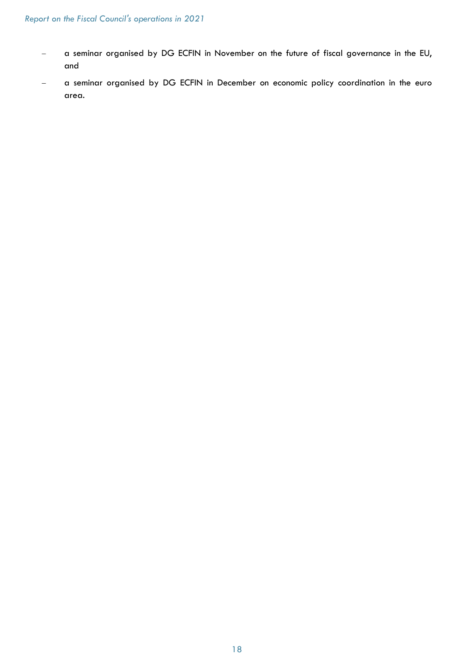- a seminar organised by DG ECFIN in November on the future of fiscal governance in the EU, and
- a seminar organised by DG ECFIN in December on economic policy coordination in the euro area.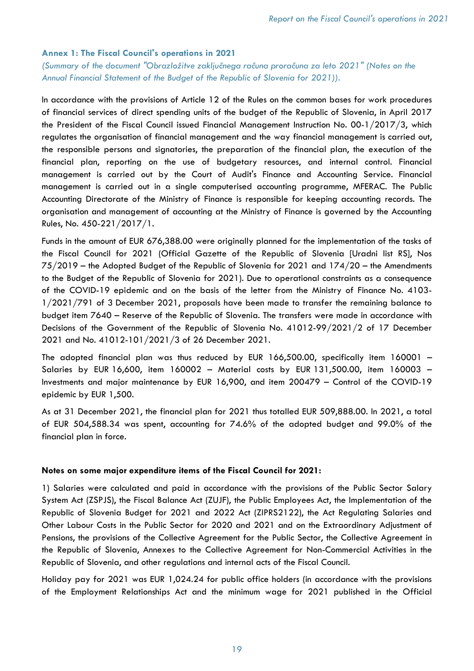#### Annex 1: The Fiscal Council's operations in 2021

(Summary of the document "Obrazložitve zaključnega računa proračuna za leto 2021" (Notes on the Annual Financial Statement of the Budget of the Republic of Slovenia for 2021)).

In accordance with the provisions of Article 12 of the Rules on the common bases for work procedures of financial services of direct spending units of the budget of the Republic of Slovenia, in April 2017 the President of the Fiscal Council issued Financial Management Instruction No. 00-1/2017/3, which regulates the organisation of financial management and the way financial management is carried out, the responsible persons and signatories, the preparation of the financial plan, the execution of the financial plan, reporting on the use of budgetary resources, and internal control. Financial management is carried out by the Court of Audit's Finance and Accounting Service. Financial management is carried out in a single computerised accounting programme, MFERAC. The Public Accounting Directorate of the Ministry of Finance is responsible for keeping accounting records. The organisation and management of accounting at the Ministry of Finance is governed by the Accounting Rules, No. 450-221/2017/1.

Funds in the amount of EUR 676,388.00 were originally planned for the implementation of the tasks of the Fiscal Council for 2021 (Official Gazette of the Republic of Slovenia [Uradni list RS], Nos 75/2019 – the Adopted Budget of the Republic of Slovenia for 2021 and 174/20 – the Amendments to the Budget of the Republic of Slovenia for 2021). Due to operational constraints as a consequence of the COVID-19 epidemic and on the basis of the letter from the Ministry of Finance No. 4103- 1/2021/791 of 3 December 2021, proposals have been made to transfer the remaining balance to budget item 7640 – Reserve of the Republic of Slovenia. The transfers were made in accordance with Decisions of the Government of the Republic of Slovenia No. 41012-99/2021/2 of 17 December 2021 and No. 41012-101/2021/3 of 26 December 2021.

The adopted financial plan was thus reduced by EUR 166,500.00, specifically item 160001 – Salaries by EUR 16,600, item 160002 – Material costs by EUR 131,500.00, item 160003 – Investments and major maintenance by EUR 16,900, and item 200479 – Control of the COVID-19 epidemic by EUR 1,500.

As at 31 December 2021, the financial plan for 2021 thus totalled EUR 509,888.00. In 2021, a total of EUR 504,588.34 was spent, accounting for 74.6% of the adopted budget and 99.0% of the financial plan in force.

#### Notes on some major expenditure items of the Fiscal Council for 2021:

1) Salaries were calculated and paid in accordance with the provisions of the Public Sector Salary System Act (ZSPJS), the Fiscal Balance Act (ZUJF), the Public Employees Act, the Implementation of the Republic of Slovenia Budget for 2021 and 2022 Act (ZIPRS2122), the Act Regulating Salaries and Other Labour Costs in the Public Sector for 2020 and 2021 and on the Extraordinary Adjustment of Pensions, the provisions of the Collective Agreement for the Public Sector, the Collective Agreement in the Republic of Slovenia, Annexes to the Collective Agreement for Non-Commercial Activities in the Republic of Slovenia, and other regulations and internal acts of the Fiscal Council.

Holiday pay for 2021 was EUR 1,024.24 for public office holders (in accordance with the provisions of the Employment Relationships Act and the minimum wage for 2021 published in the Official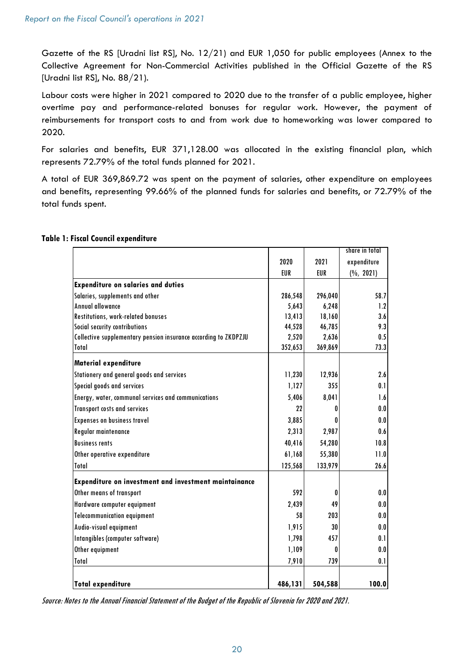Gazette of the RS [Uradni list RS], No. 12/21) and EUR 1,050 for public employees (Annex to the Collective Agreement for Non-Commercial Activities published in the Official Gazette of the RS [Uradni list RS], No. 88/21).

Labour costs were higher in 2021 compared to 2020 due to the transfer of a public employee, higher overtime pay and performance-related bonuses for regular work. However, the payment of reimbursements for transport costs to and from work due to homeworking was lower compared to 2020.

For salaries and benefits, EUR 371,128.00 was allocated in the existing financial plan, which represents 72.79% of the total funds planned for 2021.

A total of EUR 369,869.72 was spent on the payment of salaries, other expenditure on employees and benefits, representing 99.66% of the planned funds for salaries and benefits, or 72.79% of the total funds spent.

|                                                                 |            |         | share in total        |
|-----------------------------------------------------------------|------------|---------|-----------------------|
|                                                                 | 2020       | 2021    | expenditure           |
|                                                                 | <b>EUR</b> | EUR     | $(\frac{6}{6}, 2021)$ |
| <b>Expenditure on salaries and duties</b>                       |            |         |                       |
| Salaries, supplements and other                                 | 286,548    | 296,040 | 58.7                  |
| <b>Annual allowance</b>                                         | 5,643      | 6,248   | 1.2                   |
| Restitutions, work-related bonuses                              | 13,413     | 18,160  | 3.6                   |
| Social security contributions                                   | 44,528     | 46,785  | 9.3                   |
| Collective supplementary pension insurance according to ZKDPZJU | 2,520      | 2,636   | 0.5                   |
| Total                                                           | 352,653    | 369,869 | 73.3                  |
| <b>Material expenditure</b>                                     |            |         |                       |
| Stationery and general goods and services                       | 11,230     | 12,936  | 2.6                   |
| Special goods and services                                      | 1,127      | 355     | 0.1                   |
| Energy, water, communal services and communications             | 5,406      | 8,041   | 1.6                   |
| Transport costs and services                                    | 22         | 0       | 0.0                   |
| Expenses on business travel                                     | 3,885      | O       | 0.0                   |
| Regular maintenance                                             | 2,313      | 2,987   | 0.6                   |
| <b>Business rents</b>                                           | 40,416     | 54,280  | 10.8                  |
| Other operative expenditure                                     | 61,168     | 55,380  | 11.0                  |
| <b>Total</b>                                                    | 125,568    | 133,979 | 26.6                  |
| Expenditure on investment and investment maintainance           |            |         |                       |
| Other means of transport                                        | 592        | 0       | 0.0                   |
| Hardware computer equipment                                     | 2,439      | 49      | 0.0                   |
| <b>Telecommunication equipment</b>                              | 58         | 203     | 0.0                   |
| Audio-visual equipment                                          | 1,915      | 30      | 0.0                   |
| Intangibles (computer software)                                 | 1,798      | 457     | 0.1                   |
| Other equipment                                                 | 1,109      | 0       | 0.0                   |
| <b>Total</b>                                                    | 7,910      | 739     | 0.1                   |
| <b>Total expenditure</b>                                        | 486,131    | 504,588 | 100.0                 |

# Table 1: Fiscal Council expenditure

Source: Notes to the Annual Financial Statement of the Budget of the Republic of Slovenia for 2020 and 2021.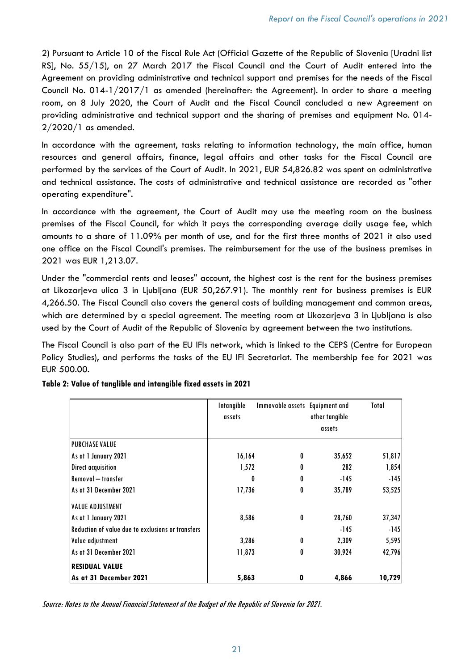2) Pursuant to Article 10 of the Fiscal Rule Act (Official Gazette of the Republic of Slovenia [Uradni list RS], No. 55/15), on 27 March 2017 the Fiscal Council and the Court of Audit entered into the Agreement on providing administrative and technical support and premises for the needs of the Fiscal Council No. 014-1/2017/1 as amended (hereinafter: the Agreement). In order to share a meeting room, on 8 July 2020, the Court of Audit and the Fiscal Council concluded a new Agreement on providing administrative and technical support and the sharing of premises and equipment No. 014- 2/2020/1 as amended.

In accordance with the agreement, tasks relating to information technology, the main office, human resources and general affairs, finance, legal affairs and other tasks for the Fiscal Council are performed by the services of the Court of Audit. In 2021, EUR 54,826.82 was spent on administrative and technical assistance. The costs of administrative and technical assistance are recorded as "other operating expenditure".

In accordance with the agreement, the Court of Audit may use the meeting room on the business premises of the Fiscal Council, for which it pays the corresponding average daily usage fee, which amounts to a share of 11.09% per month of use, and for the first three months of 2021 it also used one office on the Fiscal Council's premises. The reimbursement for the use of the business premises in 2021 was EUR 1,213.07.

Under the "commercial rents and leases" account, the highest cost is the rent for the business premises at Likozarjeva ulica 3 in Ljubljana (EUR 50,267.91). The monthly rent for business premises is EUR 4,266.50. The Fiscal Council also covers the general costs of building management and common areas, which are determined by a special agreement. The meeting room at Likozarjeva 3 in Ljubljana is also used by the Court of Audit of the Republic of Slovenia by agreement between the two institutions.

The Fiscal Council is also part of the EU IFIs network, which is linked to the CEPS (Centre for European Policy Studies), and performs the tasks of the EU IFI Secretariat. The membership fee for 2021 was EUR 500.00.

|                                                   | Intangible | Immovable assets Equipment and |                | Total  |
|---------------------------------------------------|------------|--------------------------------|----------------|--------|
|                                                   | assets     |                                | other tangible |        |
|                                                   |            |                                | assets         |        |
| <b>PURCHASE VALUE</b>                             |            |                                |                |        |
| As at 1 January 2021                              | 16,164     | 0                              | 35,652         | 51,817 |
| <b>Direct acquisition</b>                         | 1,572      | 0                              | 282            | 1,854  |
| <b>Removal</b> - transfer                         | 0          | 0                              | -145           | $-145$ |
| <b>LAs at 31 December 2021</b>                    | 17,736     | 0                              | 35,789         | 53,525 |
| <b>VALUE ADJUSTMENT</b>                           |            |                                |                |        |
| As at 1 January 2021                              | 8,586      | 0                              | 28,760         | 37,347 |
| Reduction of value due to exclusions or transfers |            |                                | -145           | $-145$ |
| <b>Value adjustment</b>                           | 3,286      | 0                              | 2,309          | 5,595  |
| As at 31 December 2021                            | 11,873     | 0                              | 30,924         | 42,796 |
| <b>RESIDUAL VALUE</b>                             |            |                                |                |        |
| As at 31 December 2021                            | 5,863      | 0                              | 4,866          | 10,729 |

Table 2: Value of tanglible and intangible fixed assets in 2021

Source: Notes to the Annual Financial Statement of the Budget of the Republic of Slovenia for 2021.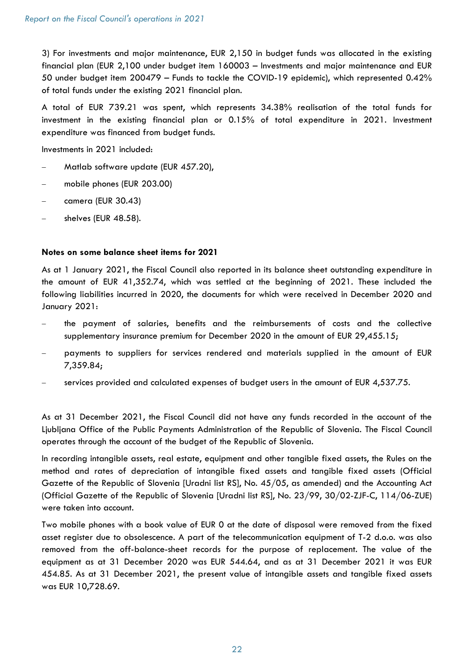3) For investments and major maintenance, EUR 2,150 in budget funds was allocated in the existing financial plan (EUR 2,100 under budget item 160003 – Investments and major maintenance and EUR 50 under budget item 200479 – Funds to tackle the COVID-19 epidemic), which represented 0.42% of total funds under the existing 2021 financial plan.

A total of EUR 739.21 was spent, which represents 34.38% realisation of the total funds for investment in the existing financial plan or 0.15% of total expenditure in 2021. Investment expenditure was financed from budget funds.

Investments in 2021 included:

- Matlab software update (EUR 457.20),
- mobile phones (EUR 203.00)
- camera (EUR 30.43)
- shelves (EUR 48.58).

# Notes on some balance sheet items for 2021

As at 1 January 2021, the Fiscal Council also reported in its balance sheet outstanding expenditure in the amount of EUR 41,352.74, which was settled at the beginning of 2021. These included the following liabilities incurred in 2020, the documents for which were received in December 2020 and January 2021:

- the payment of salaries, benefits and the reimbursements of costs and the collective supplementary insurance premium for December 2020 in the amount of EUR 29,455.15;
- payments to suppliers for services rendered and materials supplied in the amount of EUR 7,359.84;
- services provided and calculated expenses of budget users in the amount of EUR 4,537.75.

As at 31 December 2021, the Fiscal Council did not have any funds recorded in the account of the Ljubljana Office of the Public Payments Administration of the Republic of Slovenia. The Fiscal Council operates through the account of the budget of the Republic of Slovenia.

In recording intangible assets, real estate, equipment and other tangible fixed assets, the Rules on the method and rates of depreciation of intangible fixed assets and tangible fixed assets (Official Gazette of the Republic of Slovenia [Uradni list RS], No. 45/05, as amended) and the Accounting Act (Official Gazette of the Republic of Slovenia [Uradni list RS], No. 23/99, 30/02-ZJF-C, 114/06-ZUE) were taken into account.

Two mobile phones with a book value of EUR 0 at the date of disposal were removed from the fixed asset register due to obsolescence. A part of the telecommunication equipment of T-2 d.o.o. was also removed from the off-balance-sheet records for the purpose of replacement. The value of the equipment as at 31 December 2020 was EUR 544.64, and as at 31 December 2021 it was EUR 454.85. As at 31 December 2021, the present value of intangible assets and tangible fixed assets was EUR 10,728.69.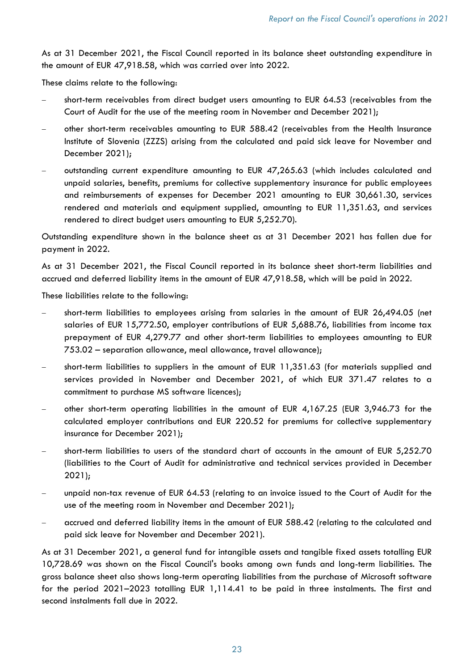As at 31 December 2021, the Fiscal Council reported in its balance sheet outstanding expenditure in the amount of EUR 47,918.58, which was carried over into 2022.

These claims relate to the following:

- short-term receivables from direct budget users amounting to EUR 64.53 (receivables from the Court of Audit for the use of the meeting room in November and December 2021);
- other short-term receivables amounting to EUR 588.42 (receivables from the Health Insurance Institute of Slovenia (ZZZS) arising from the calculated and paid sick leave for November and December 2021);
- outstanding current expenditure amounting to EUR 47,265.63 (which includes calculated and unpaid salaries, benefits, premiums for collective supplementary insurance for public employees and reimbursements of expenses for December 2021 amounting to EUR 30,661.30, services rendered and materials and equipment supplied, amounting to EUR 11,351.63, and services rendered to direct budget users amounting to EUR 5,252.70).

Outstanding expenditure shown in the balance sheet as at 31 December 2021 has fallen due for payment in 2022.

As at 31 December 2021, the Fiscal Council reported in its balance sheet short-term liabilities and accrued and deferred liability items in the amount of EUR 47,918.58, which will be paid in 2022.

These liabilities relate to the following:

- short-term liabilities to employees arising from salaries in the amount of EUR 26,494.05 (net salaries of EUR 15,772.50, employer contributions of EUR 5,688.76, liabilities from income tax prepayment of EUR 4,279.77 and other short-term liabilities to employees amounting to EUR 753.02 – separation allowance, meal allowance, travel allowance);
- short-term liabilities to suppliers in the amount of EUR 11,351.63 (for materials supplied and services provided in November and December 2021, of which EUR 371.47 relates to a commitment to purchase MS software licences);
- other short-term operating liabilities in the amount of EUR 4,167.25 (EUR 3,946.73 for the calculated employer contributions and EUR 220.52 for premiums for collective supplementary insurance for December 2021);
- short-term liabilities to users of the standard chart of accounts in the amount of EUR 5,252.70 (liabilities to the Court of Audit for administrative and technical services provided in December 2021);
- unpaid non-tax revenue of EUR 64.53 (relating to an invoice issued to the Court of Audit for the use of the meeting room in November and December 2021);
- accrued and deferred liability items in the amount of EUR 588.42 (relating to the calculated and paid sick leave for November and December 2021).

As at 31 December 2021, a general fund for intangible assets and tangible fixed assets totalling EUR 10,728.69 was shown on the Fiscal Council's books among own funds and long-term liabilities. The gross balance sheet also shows long-term operating liabilities from the purchase of Microsoft software for the period 2021–2023 totalling EUR 1,114.41 to be paid in three instalments. The first and second instalments fall due in 2022.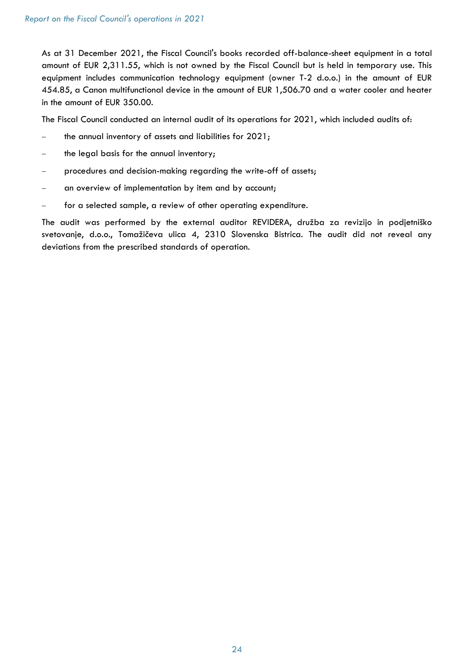As at 31 December 2021, the Fiscal Council's books recorded off-balance-sheet equipment in a total amount of EUR 2,311.55, which is not owned by the Fiscal Council but is held in temporary use. This equipment includes communication technology equipment (owner T-2 d.o.o.) in the amount of EUR 454.85, a Canon multifunctional device in the amount of EUR 1,506.70 and a water cooler and heater in the amount of EUR 350.00.

The Fiscal Council conducted an internal audit of its operations for 2021, which included audits of:

- the annual inventory of assets and liabilities for 2021;
- the legal basis for the annual inventory;
- procedures and decision-making regarding the write-off of assets;
- an overview of implementation by item and by account;
- for a selected sample, a review of other operating expenditure.

The audit was performed by the external auditor REVIDERA, družba za revizijo in podjetniško svetovanje, d.o.o., Tomažičeva ulica 4, 2310 Slovenska Bistrica. The audit did not reveal any deviations from the prescribed standards of operation.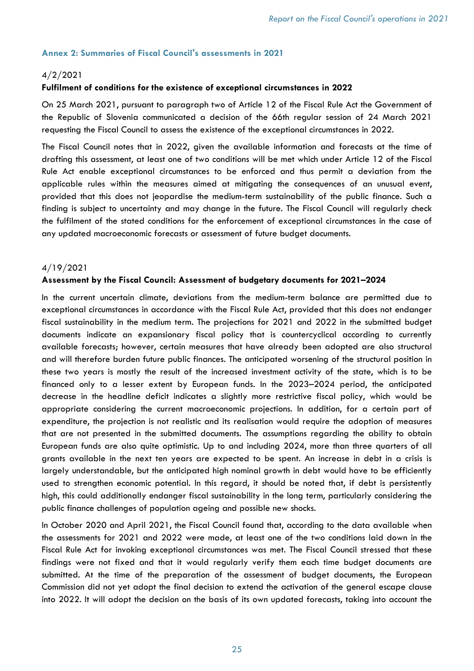# Annex 2: Summaries of Fiscal Council's assessments in 2021

# 4/2/2021

#### Fulfilment of conditions for the existence of exceptional circumstances in 2022

On 25 March 2021, pursuant to paragraph two of Article 12 of the Fiscal Rule Act the Government of the Republic of Slovenia communicated a decision of the 66th regular session of 24 March 2021 requesting the Fiscal Council to assess the existence of the exceptional circumstances in 2022.

The Fiscal Council notes that in 2022, given the available information and forecasts at the time of drafting this assessment, at least one of two conditions will be met which under Article 12 of the Fiscal Rule Act enable exceptional circumstances to be enforced and thus permit a deviation from the applicable rules within the measures aimed at mitigating the consequences of an unusual event, provided that this does not jeopardise the medium-term sustainability of the public finance. Such a finding is subject to uncertainty and may change in the future. The Fiscal Council will regularly check the fulfilment of the stated conditions for the enforcement of exceptional circumstances in the case of any updated macroeconomic forecasts or assessment of future budget documents.

#### 4/19/2021

#### Assessment by the Fiscal Council: Assessment of budgetary documents for 2021–2024

In the current uncertain climate, deviations from the medium-term balance are permitted due to exceptional circumstances in accordance with the Fiscal Rule Act, provided that this does not endanger fiscal sustainability in the medium term. The projections for 2021 and 2022 in the submitted budget documents indicate an expansionary fiscal policy that is countercyclical according to currently available forecasts; however, certain measures that have already been adopted are also structural and will therefore burden future public finances. The anticipated worsening of the structural position in these two years is mostly the result of the increased investment activity of the state, which is to be financed only to a lesser extent by European funds. In the 2023–2024 period, the anticipated decrease in the headline deficit indicates a slightly more restrictive fiscal policy, which would be appropriate considering the current macroeconomic projections. In addition, for a certain part of expenditure, the projection is not realistic and its realisation would require the adoption of measures that are not presented in the submitted documents. The assumptions regarding the ability to obtain European funds are also quite optimistic. Up to and including 2024, more than three quarters of all grants available in the next ten years are expected to be spent. An increase in debt in a crisis is largely understandable, but the anticipated high nominal growth in debt would have to be efficiently used to strengthen economic potential. In this regard, it should be noted that, if debt is persistently high, this could additionally endanger fiscal sustainability in the long term, particularly considering the public finance challenges of population ageing and possible new shocks.

In October 2020 and April 2021, the Fiscal Council found that, according to the data available when the assessments for 2021 and 2022 were made, at least one of the two conditions laid down in the Fiscal Rule Act for invoking exceptional circumstances was met. The Fiscal Council stressed that these findings were not fixed and that it would regularly verify them each time budget documents are submitted. At the time of the preparation of the assessment of budget documents, the European Commission did not yet adopt the final decision to extend the activation of the general escape clause into 2022. It will adopt the decision on the basis of its own updated forecasts, taking into account the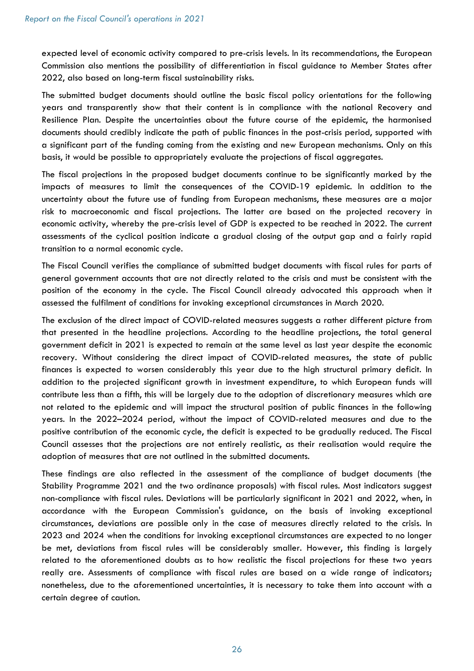expected level of economic activity compared to pre-crisis levels. In its recommendations, the European Commission also mentions the possibility of differentiation in fiscal guidance to Member States after 2022, also based on long-term fiscal sustainability risks.

The submitted budget documents should outline the basic fiscal policy orientations for the following years and transparently show that their content is in compliance with the national Recovery and Resilience Plan. Despite the uncertainties about the future course of the epidemic, the harmonised documents should credibly indicate the path of public finances in the post-crisis period, supported with a significant part of the funding coming from the existing and new European mechanisms. Only on this basis, it would be possible to appropriately evaluate the projections of fiscal aggregates.

The fiscal projections in the proposed budget documents continue to be significantly marked by the impacts of measures to limit the consequences of the COVID-19 epidemic. In addition to the uncertainty about the future use of funding from European mechanisms, these measures are a major risk to macroeconomic and fiscal projections. The latter are based on the projected recovery in economic activity, whereby the pre-crisis level of GDP is expected to be reached in 2022. The current assessments of the cyclical position indicate a gradual closing of the output gap and a fairly rapid transition to a normal economic cycle.

The Fiscal Council verifies the compliance of submitted budget documents with fiscal rules for parts of general government accounts that are not directly related to the crisis and must be consistent with the position of the economy in the cycle. The Fiscal Council already advocated this approach when it assessed the fulfilment of conditions for invoking exceptional circumstances in March 2020.

The exclusion of the direct impact of COVID-related measures suggests a rather different picture from that presented in the headline projections. According to the headline projections, the total general government deficit in 2021 is expected to remain at the same level as last year despite the economic recovery. Without considering the direct impact of COVID-related measures, the state of public finances is expected to worsen considerably this year due to the high structural primary deficit. In addition to the projected significant growth in investment expenditure, to which European funds will contribute less than a fifth, this will be largely due to the adoption of discretionary measures which are not related to the epidemic and will impact the structural position of public finances in the following years. In the 2022–2024 period, without the impact of COVID-related measures and due to the positive contribution of the economic cycle, the deficit is expected to be gradually reduced. The Fiscal Council assesses that the projections are not entirely realistic, as their realisation would require the adoption of measures that are not outlined in the submitted documents.

These findings are also reflected in the assessment of the compliance of budget documents (the Stability Programme 2021 and the two ordinance proposals) with fiscal rules. Most indicators suggest non-compliance with fiscal rules. Deviations will be particularly significant in 2021 and 2022, when, in accordance with the European Commission's guidance, on the basis of invoking exceptional circumstances, deviations are possible only in the case of measures directly related to the crisis. In 2023 and 2024 when the conditions for invoking exceptional circumstances are expected to no longer be met, deviations from fiscal rules will be considerably smaller. However, this finding is largely related to the aforementioned doubts as to how realistic the fiscal projections for these two years really are. Assessments of compliance with fiscal rules are based on a wide range of indicators; nonetheless, due to the aforementioned uncertainties, it is necessary to take them into account with a certain degree of caution.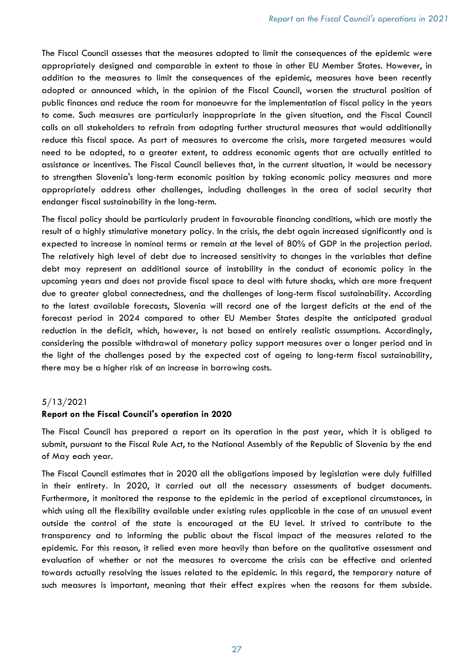The Fiscal Council assesses that the measures adopted to limit the consequences of the epidemic were appropriately designed and comparable in extent to those in other EU Member States. However, in addition to the measures to limit the consequences of the epidemic, measures have been recently adopted or announced which, in the opinion of the Fiscal Council, worsen the structural position of public finances and reduce the room for manoeuvre for the implementation of fiscal policy in the years to come. Such measures are particularly inappropriate in the given situation, and the Fiscal Council calls on all stakeholders to refrain from adopting further structural measures that would additionally reduce this fiscal space. As part of measures to overcome the crisis, more targeted measures would need to be adopted, to a greater extent, to address economic agents that are actually entitled to assistance or incentives. The Fiscal Council believes that, in the current situation, it would be necessary to strengthen Slovenia's long-term economic position by taking economic policy measures and more appropriately address other challenges, including challenges in the area of social security that endanger fiscal sustainability in the long-term.

The fiscal policy should be particularly prudent in favourable financing conditions, which are mostly the result of a highly stimulative monetary policy. In the crisis, the debt again increased significantly and is expected to increase in nominal terms or remain at the level of 80% of GDP in the projection period. The relatively high level of debt due to increased sensitivity to changes in the variables that define debt may represent an additional source of instability in the conduct of economic policy in the upcoming years and does not provide fiscal space to deal with future shocks, which are more frequent due to greater global connectedness, and the challenges of long-term fiscal sustainability. According to the latest available forecasts, Slovenia will record one of the largest deficits at the end of the forecast period in 2024 compared to other EU Member States despite the anticipated gradual reduction in the deficit, which, however, is not based on entirely realistic assumptions. Accordingly, considering the possible withdrawal of monetary policy support measures over a longer period and in the light of the challenges posed by the expected cost of ageing to long-term fiscal sustainability, there may be a higher risk of an increase in borrowing costs.

#### 5/13/2021

#### Report on the Fiscal Council's operation in 2020

The Fiscal Council has prepared a report on its operation in the past year, which it is obliged to submit, pursuant to the Fiscal Rule Act, to the National Assembly of the Republic of Slovenia by the end of May each year.

The Fiscal Council estimates that in 2020 all the obligations imposed by legislation were duly fulfilled in their entirety. In 2020, it carried out all the necessary assessments of budget documents. Furthermore, it monitored the response to the epidemic in the period of exceptional circumstances, in which using all the flexibility available under existing rules applicable in the case of an unusual event outside the control of the state is encouraged at the EU level. It strived to contribute to the transparency and to informing the public about the fiscal impact of the measures related to the epidemic. For this reason, it relied even more heavily than before on the qualitative assessment and evaluation of whether or not the measures to overcome the crisis can be effective and oriented towards actually resolving the issues related to the epidemic. In this regard, the temporary nature of such measures is important, meaning that their effect expires when the reasons for them subside.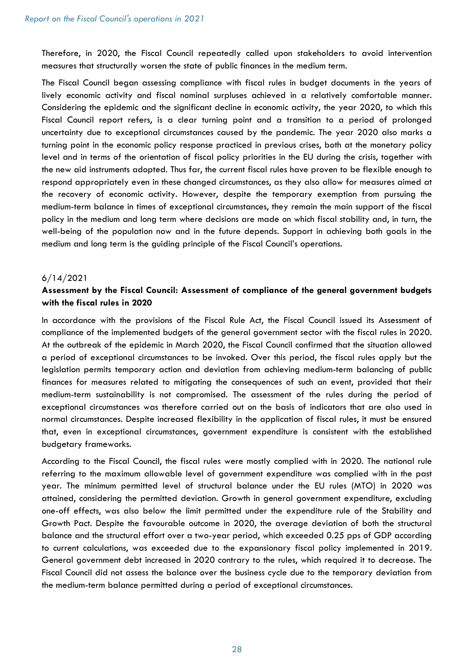Therefore, in 2020, the Fiscal Council repeatedly called upon stakeholders to avoid intervention measures that structurally worsen the state of public finances in the medium term.

The Fiscal Council began assessing compliance with fiscal rules in budget documents in the years of lively economic activity and fiscal nominal surpluses achieved in a relatively comfortable manner. Considering the epidemic and the significant decline in economic activity, the year 2020, to which this Fiscal Council report refers, is a clear turning point and a transition to a period of prolonged uncertainty due to exceptional circumstances caused by the pandemic. The year 2020 also marks a turning point in the economic policy response practiced in previous crises, both at the monetary policy level and in terms of the orientation of fiscal policy priorities in the EU during the crisis, together with the new aid instruments adopted. Thus far, the current fiscal rules have proven to be flexible enough to respond appropriately even in these changed circumstances, as they also allow for measures aimed at the recovery of economic activity. However, despite the temporary exemption from pursuing the medium-term balance in times of exceptional circumstances, they remain the main support of the fiscal policy in the medium and long term where decisions are made on which fiscal stability and, in turn, the well-being of the population now and in the future depends. Support in achieving both goals in the medium and long term is the guiding principle of the Fiscal Council's operations.

# 6/14/2021

# Assessment by the Fiscal Council: Assessment of compliance of the general government budgets with the fiscal rules in 2020

In accordance with the provisions of the Fiscal Rule Act, the Fiscal Council issued its Assessment of compliance of the implemented budgets of the general government sector with the fiscal rules in 2020. At the outbreak of the epidemic in March 2020, the Fiscal Council confirmed that the situation allowed a period of exceptional circumstances to be invoked. Over this period, the fiscal rules apply but the legislation permits temporary action and deviation from achieving medium-term balancing of public finances for measures related to mitigating the consequences of such an event, provided that their medium-term sustainability is not compromised. The assessment of the rules during the period of exceptional circumstances was therefore carried out on the basis of indicators that are also used in normal circumstances. Despite increased flexibility in the application of fiscal rules, it must be ensured that, even in exceptional circumstances, government expenditure is consistent with the established budgetary frameworks.

According to the Fiscal Council, the fiscal rules were mostly complied with in 2020. The national rule referring to the maximum allowable level of government expenditure was complied with in the past year. The minimum permitted level of structural balance under the EU rules (MTO) in 2020 was attained, considering the permitted deviation. Growth in general government expenditure, excluding one-off effects, was also below the limit permitted under the expenditure rule of the Stability and Growth Pact. Despite the favourable outcome in 2020, the average deviation of both the structural balance and the structural effort over a two-year period, which exceeded 0.25 pps of GDP according to current calculations, was exceeded due to the expansionary fiscal policy implemented in 2019. General government debt increased in 2020 contrary to the rules, which required it to decrease. The Fiscal Council did not assess the balance over the business cycle due to the temporary deviation from the medium-term balance permitted during a period of exceptional circumstances.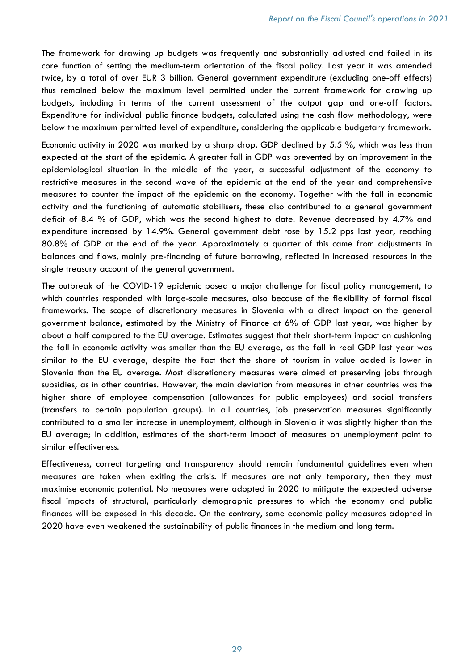The framework for drawing up budgets was frequently and substantially adjusted and failed in its core function of setting the medium-term orientation of the fiscal policy. Last year it was amended twice, by a total of over EUR 3 billion. General government expenditure (excluding one-off effects) thus remained below the maximum level permitted under the current framework for drawing up budgets, including in terms of the current assessment of the output gap and one-off factors. Expenditure for individual public finance budgets, calculated using the cash flow methodology, were below the maximum permitted level of expenditure, considering the applicable budgetary framework.

Economic activity in 2020 was marked by a sharp drop. GDP declined by 5.5 %, which was less than expected at the start of the epidemic. A greater fall in GDP was prevented by an improvement in the epidemiological situation in the middle of the year, a successful adjustment of the economy to restrictive measures in the second wave of the epidemic at the end of the year and comprehensive measures to counter the impact of the epidemic on the economy. Together with the fall in economic activity and the functioning of automatic stabilisers, these also contributed to a general government deficit of 8.4 % of GDP, which was the second highest to date. Revenue decreased by 4.7% and expenditure increased by 14.9%. General government debt rose by 15.2 pps last year, reaching 80.8% of GDP at the end of the year. Approximately a quarter of this came from adjustments in balances and flows, mainly pre-financing of future borrowing, reflected in increased resources in the single treasury account of the general government.

The outbreak of the COVID-19 epidemic posed a major challenge for fiscal policy management, to which countries responded with large-scale measures, also because of the flexibility of formal fiscal frameworks. The scope of discretionary measures in Slovenia with a direct impact on the general government balance, estimated by the Ministry of Finance at 6% of GDP last year, was higher by about a half compared to the EU average. Estimates suggest that their short-term impact on cushioning the fall in economic activity was smaller than the EU average, as the fall in real GDP last year was similar to the EU average, despite the fact that the share of tourism in value added is lower in Slovenia than the EU average. Most discretionary measures were aimed at preserving jobs through subsidies, as in other countries. However, the main deviation from measures in other countries was the higher share of employee compensation (allowances for public employees) and social transfers (transfers to certain population groups). In all countries, job preservation measures significantly contributed to a smaller increase in unemployment, although in Slovenia it was slightly higher than the EU average; in addition, estimates of the short-term impact of measures on unemployment point to similar effectiveness.

Effectiveness, correct targeting and transparency should remain fundamental guidelines even when measures are taken when exiting the crisis. If measures are not only temporary, then they must maximise economic potential. No measures were adopted in 2020 to mitigate the expected adverse fiscal impacts of structural, particularly demographic pressures to which the economy and public finances will be exposed in this decade. On the contrary, some economic policy measures adopted in 2020 have even weakened the sustainability of public finances in the medium and long term.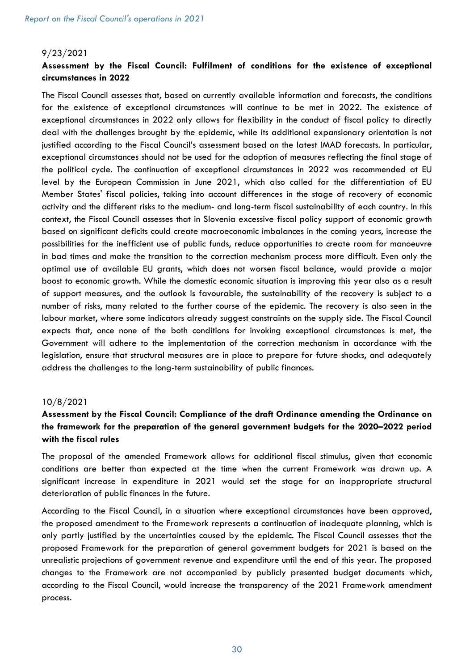#### 9/23/2021

# Assessment by the Fiscal Council: Fulfilment of conditions for the existence of exceptional circumstances in 2022

The Fiscal Council assesses that, based on currently available information and forecasts, the conditions for the existence of exceptional circumstances will continue to be met in 2022. The existence of exceptional circumstances in 2022 only allows for flexibility in the conduct of fiscal policy to directly deal with the challenges brought by the epidemic, while its additional expansionary orientation is not justified according to the Fiscal Council's assessment based on the latest IMAD forecasts. In particular, exceptional circumstances should not be used for the adoption of measures reflecting the final stage of the political cycle. The continuation of exceptional circumstances in 2022 was recommended at EU level by the European Commission in June 2021, which also called for the differentiation of EU Member States' fiscal policies, taking into account differences in the stage of recovery of economic activity and the different risks to the medium- and long-term fiscal sustainability of each country. In this context, the Fiscal Council assesses that in Slovenia excessive fiscal policy support of economic growth based on significant deficits could create macroeconomic imbalances in the coming years, increase the possibilities for the inefficient use of public funds, reduce opportunities to create room for manoeuvre in bad times and make the transition to the correction mechanism process more difficult. Even only the optimal use of available EU grants, which does not worsen fiscal balance, would provide a major boost to economic growth. While the domestic economic situation is improving this year also as a result of support measures, and the outlook is favourable, the sustainability of the recovery is subject to a number of risks, many related to the further course of the epidemic. The recovery is also seen in the labour market, where some indicators already suggest constraints on the supply side. The Fiscal Council expects that, once none of the both conditions for invoking exceptional circumstances is met, the Government will adhere to the implementation of the correction mechanism in accordance with the legislation, ensure that structural measures are in place to prepare for future shocks, and adequately address the challenges to the long-term sustainability of public finances.

#### 10/8/2021

# Assessment by the Fiscal Council: Compliance of the draft Ordinance amending the Ordinance on the framework for the preparation of the general government budgets for the 2020–2022 period with the fiscal rules

The proposal of the amended Framework allows for additional fiscal stimulus, given that economic conditions are better than expected at the time when the current Framework was drawn up. A significant increase in expenditure in 2021 would set the stage for an inappropriate structural deterioration of public finances in the future.

According to the Fiscal Council, in a situation where exceptional circumstances have been approved, the proposed amendment to the Framework represents a continuation of inadequate planning, which is only partly justified by the uncertainties caused by the epidemic. The Fiscal Council assesses that the proposed Framework for the preparation of general government budgets for 2021 is based on the unrealistic projections of government revenue and expenditure until the end of this year. The proposed changes to the Framework are not accompanied by publicly presented budget documents which, according to the Fiscal Council, would increase the transparency of the 2021 Framework amendment process.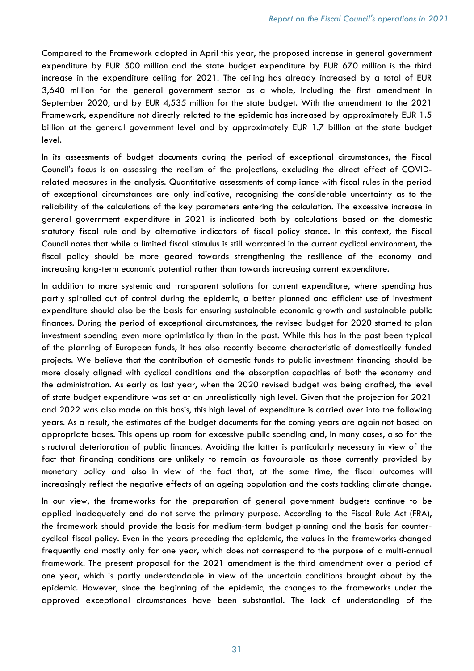Compared to the Framework adopted in April this year, the proposed increase in general government expenditure by EUR 500 million and the state budget expenditure by EUR 670 million is the third increase in the expenditure ceiling for 2021. The ceiling has already increased by a total of EUR 3,640 million for the general government sector as a whole, including the first amendment in September 2020, and by EUR 4,535 million for the state budget. With the amendment to the 2021 Framework, expenditure not directly related to the epidemic has increased by approximately EUR 1.5 billion at the general government level and by approximately EUR 1.7 billion at the state budget level.

In its assessments of budget documents during the period of exceptional circumstances, the Fiscal Council's focus is on assessing the realism of the projections, excluding the direct effect of COVIDrelated measures in the analysis. Quantitative assessments of compliance with fiscal rules in the period of exceptional circumstances are only indicative, recognising the considerable uncertainty as to the reliability of the calculations of the key parameters entering the calculation. The excessive increase in general government expenditure in 2021 is indicated both by calculations based on the domestic statutory fiscal rule and by alternative indicators of fiscal policy stance. In this context, the Fiscal Council notes that while a limited fiscal stimulus is still warranted in the current cyclical environment, the fiscal policy should be more geared towards strengthening the resilience of the economy and increasing long-term economic potential rather than towards increasing current expenditure.

In addition to more systemic and transparent solutions for current expenditure, where spending has partly spiralled out of control during the epidemic, a better planned and efficient use of investment expenditure should also be the basis for ensuring sustainable economic growth and sustainable public finances. During the period of exceptional circumstances, the revised budget for 2020 started to plan investment spending even more optimistically than in the past. While this has in the past been typical of the planning of European funds, it has also recently become characteristic of domestically funded projects. We believe that the contribution of domestic funds to public investment financing should be more closely aligned with cyclical conditions and the absorption capacities of both the economy and the administration. As early as last year, when the 2020 revised budget was being drafted, the level of state budget expenditure was set at an unrealistically high level. Given that the projection for 2021 and 2022 was also made on this basis, this high level of expenditure is carried over into the following years. As a result, the estimates of the budget documents for the coming years are again not based on appropriate bases. This opens up room for excessive public spending and, in many cases, also for the structural deterioration of public finances. Avoiding the latter is particularly necessary in view of the fact that financing conditions are unlikely to remain as favourable as those currently provided by monetary policy and also in view of the fact that, at the same time, the fiscal outcomes will increasingly reflect the negative effects of an ageing population and the costs tackling climate change.

In our view, the frameworks for the preparation of general government budgets continue to be applied inadequately and do not serve the primary purpose. According to the Fiscal Rule Act (FRA), the framework should provide the basis for medium-term budget planning and the basis for countercyclical fiscal policy. Even in the years preceding the epidemic, the values in the frameworks changed frequently and mostly only for one year, which does not correspond to the purpose of a multi-annual framework. The present proposal for the 2021 amendment is the third amendment over a period of one year, which is partly understandable in view of the uncertain conditions brought about by the epidemic. However, since the beginning of the epidemic, the changes to the frameworks under the approved exceptional circumstances have been substantial. The lack of understanding of the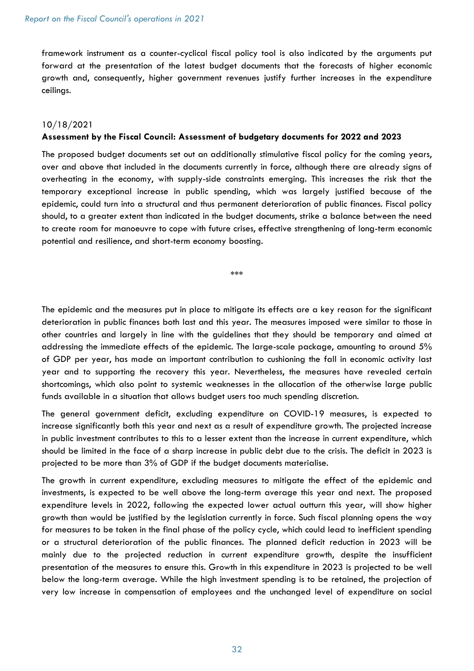framework instrument as a counter-cyclical fiscal policy tool is also indicated by the arguments put forward at the presentation of the latest budget documents that the forecasts of higher economic growth and, consequently, higher government revenues justify further increases in the expenditure ceilings.

#### 10/18/2021

# Assessment by the Fiscal Council: Assessment of budgetary documents for 2022 and 2023

The proposed budget documents set out an additionally stimulative fiscal policy for the coming years, over and above that included in the documents currently in force, although there are already signs of overheating in the economy, with supply-side constraints emerging. This increases the risk that the temporary exceptional increase in public spending, which was largely justified because of the epidemic, could turn into a structural and thus permanent deterioration of public finances. Fiscal policy should, to a greater extent than indicated in the budget documents, strike a balance between the need to create room for manoeuvre to cope with future crises, effective strengthening of long-term economic potential and resilience, and short-term economy boosting.

\*\*\*

The epidemic and the measures put in place to mitigate its effects are a key reason for the significant deterioration in public finances both last and this year. The measures imposed were similar to those in other countries and largely in line with the guidelines that they should be temporary and aimed at addressing the immediate effects of the epidemic. The large-scale package, amounting to around 5% of GDP per year, has made an important contribution to cushioning the fall in economic activity last year and to supporting the recovery this year. Nevertheless, the measures have revealed certain shortcomings, which also point to systemic weaknesses in the allocation of the otherwise large public funds available in a situation that allows budget users too much spending discretion.

The general government deficit, excluding expenditure on COVID-19 measures, is expected to increase significantly both this year and next as a result of expenditure growth. The projected increase in public investment contributes to this to a lesser extent than the increase in current expenditure, which should be limited in the face of a sharp increase in public debt due to the crisis. The deficit in 2023 is projected to be more than 3% of GDP if the budget documents materialise.

The growth in current expenditure, excluding measures to mitigate the effect of the epidemic and investments, is expected to be well above the long-term average this year and next. The proposed expenditure levels in 2022, following the expected lower actual outturn this year, will show higher growth than would be justified by the legislation currently in force. Such fiscal planning opens the way for measures to be taken in the final phase of the policy cycle, which could lead to inefficient spending or a structural deterioration of the public finances. The planned deficit reduction in 2023 will be mainly due to the projected reduction in current expenditure growth, despite the insufficient presentation of the measures to ensure this. Growth in this expenditure in 2023 is projected to be well below the long-term average. While the high investment spending is to be retained, the projection of very low increase in compensation of employees and the unchanged level of expenditure on social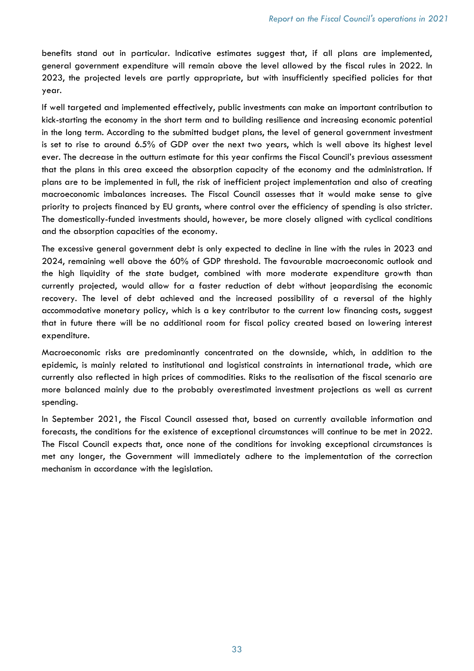benefits stand out in particular. Indicative estimates suggest that, if all plans are implemented, general government expenditure will remain above the level allowed by the fiscal rules in 2022. In 2023, the projected levels are partly appropriate, but with insufficiently specified policies for that year.

If well targeted and implemented effectively, public investments can make an important contribution to kick-starting the economy in the short term and to building resilience and increasing economic potential in the long term. According to the submitted budget plans, the level of general government investment is set to rise to around 6.5% of GDP over the next two years, which is well above its highest level ever. The decrease in the outturn estimate for this year confirms the Fiscal Council's previous assessment that the plans in this area exceed the absorption capacity of the economy and the administration. If plans are to be implemented in full, the risk of inefficient project implementation and also of creating macroeconomic imbalances increases. The Fiscal Council assesses that it would make sense to give priority to projects financed by EU grants, where control over the efficiency of spending is also stricter. The domestically-funded investments should, however, be more closely aligned with cyclical conditions and the absorption capacities of the economy.

The excessive general government debt is only expected to decline in line with the rules in 2023 and 2024, remaining well above the 60% of GDP threshold. The favourable macroeconomic outlook and the high liquidity of the state budget, combined with more moderate expenditure growth than currently projected, would allow for a faster reduction of debt without jeopardising the economic recovery. The level of debt achieved and the increased possibility of a reversal of the highly accommodative monetary policy, which is a key contributor to the current low financing costs, suggest that in future there will be no additional room for fiscal policy created based on lowering interest expenditure.

Macroeconomic risks are predominantly concentrated on the downside, which, in addition to the epidemic, is mainly related to institutional and logistical constraints in international trade, which are currently also reflected in high prices of commodities. Risks to the realisation of the fiscal scenario are more balanced mainly due to the probably overestimated investment projections as well as current spending.

In September 2021, the Fiscal Council assessed that, based on currently available information and forecasts, the conditions for the existence of exceptional circumstances will continue to be met in 2022. The Fiscal Council expects that, once none of the conditions for invoking exceptional circumstances is met any longer, the Government will immediately adhere to the implementation of the correction mechanism in accordance with the legislation.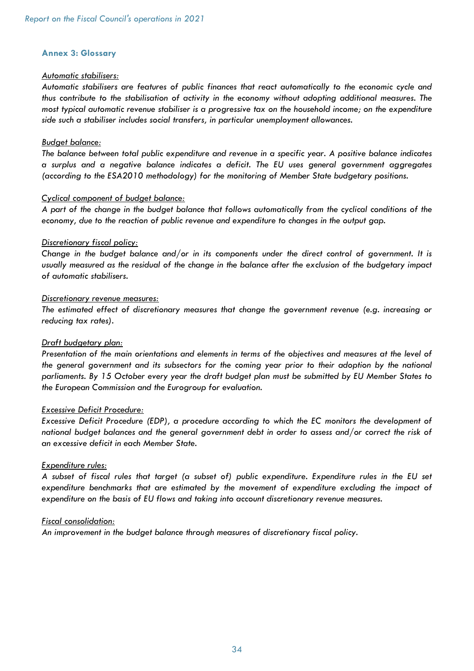#### Annex 3: Glossary

#### Automatic stabilisers:

Automatic stabilisers are features of public finances that react automatically to the economic cycle and thus contribute to the stabilisation of activity in the economy without adopting additional measures. The most typical automatic revenue stabiliser is a progressive tax on the household income; on the expenditure side such a stabiliser includes social transfers, in particular unemployment allowances.

#### Budget balance:

The balance between total public expenditure and revenue in a specific year. A positive balance indicates a surplus and a negative balance indicates a deficit. The EU uses general government aggregates (according to the ESA2010 methodology) for the monitoring of Member State budgetary positions.

#### Cyclical component of budget balance:

A part of the change in the budget balance that follows automatically from the cyclical conditions of the economy, due to the reaction of public revenue and expenditure to changes in the output gap.

#### Discretionary fiscal policy:

Change in the budget balance and/or in its components under the direct control of government. It is usually measured as the residual of the change in the balance after the exclusion of the budgetary impact of automatic stabilisers.

#### Discretionary revenue measures:

The estimated effect of discretionary measures that change the government revenue (e.g. increasing or reducing tax rates).

#### Draft budgetary plan:

Presentation of the main orientations and elements in terms of the objectives and measures at the level of the general government and its subsectors for the coming year prior to their adoption by the national parliaments. By 15 October every year the draft budget plan must be submitted by EU Member States to the European Commission and the Eurogroup for evaluation.

#### Excessive Deficit Procedure:

Excessive Deficit Procedure (EDP), a procedure according to which the EC monitors the development of national budget balances and the general government debt in order to assess and/or correct the risk of an excessive deficit in each Member State.

#### Expenditure rules:

A subset of fiscal rules that target (a subset of) public expenditure. Expenditure rules in the EU set expenditure benchmarks that are estimated by the movement of expenditure excluding the impact of expenditure on the basis of EU flows and taking into account discretionary revenue measures.

#### Fiscal consolidation:

An improvement in the budget balance through measures of discretionary fiscal policy.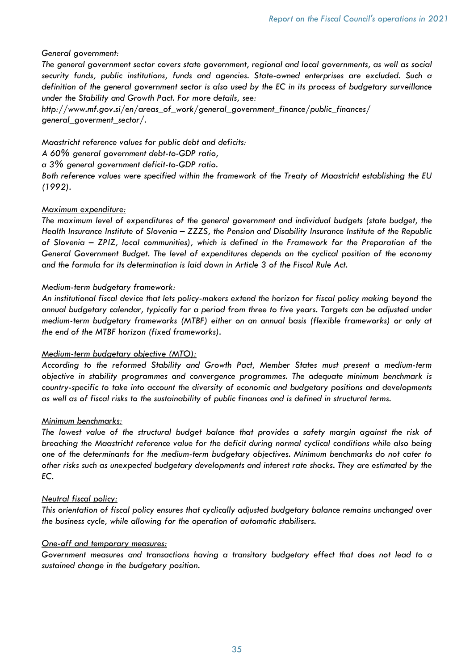#### General government:

The general government sector covers state government, regional and local governments, as well as social security funds, public institutions, funds and agencies. State-owned enterprises are excluded. Such a definition of the general government sector is also used by the EC in its process of budgetary surveillance under the Stability and Growth Pact. For more details, see:

http://www.mf.gov.si/en/areas\_of\_work/general\_government\_finance/public\_finances/ general\_goverment\_sector/.

Maastricht reference values for public debt and deficits:

A 60% general government debt-to-GDP ratio,

a 3% general government deficit-to-GDP ratio.

Both reference values were specified within the framework of the Treaty of Maastricht establishing the EU (1992).

# Maximum expenditure:

The maximum level of expenditures of the general government and individual budgets (state budget, the Health Insurance Institute of Slovenia – ZZZS, the Pension and Disability Insurance Institute of the Republic of Slovenia – ZPIZ, local communities), which is defined in the Framework for the Preparation of the General Government Budget. The level of expenditures depends on the cyclical position of the economy and the formula for its determination is laid down in Article 3 of the Fiscal Rule Act.

#### Medium-term budgetary framework:

An institutional fiscal device that lets policy-makers extend the horizon for fiscal policy making beyond the annual budgetary calendar, typically for a period from three to five years. Targets can be adjusted under medium-term budgetary frameworks (MTBF) either on an annual basis (flexible frameworks) or only at the end of the MTBF horizon (fixed frameworks).

#### Medium-term budgetary objective (MTO):

According to the reformed Stability and Growth Pact, Member States must present a medium-term objective in stability programmes and convergence programmes. The adequate minimum benchmark is country-specific to take into account the diversity of economic and budgetary positions and developments as well as of fiscal risks to the sustainability of public finances and is defined in structural terms.

#### Minimum benchmarks:

The lowest value of the structural budget balance that provides a safety margin against the risk of breaching the Maastricht reference value for the deficit during normal cyclical conditions while also being one of the determinants for the medium-term budgetary objectives. Minimum benchmarks do not cater to other risks such as unexpected budgetary developments and interest rate shocks. They are estimated by the EC.

#### Neutral fiscal policy:

This orientation of fiscal policy ensures that cyclically adjusted budgetary balance remains unchanged over the business cycle, while allowing for the operation of automatic stabilisers.

#### One-off and temporary measures:

Government measures and transactions having a transitory budgetary effect that does not lead to a sustained change in the budgetary position.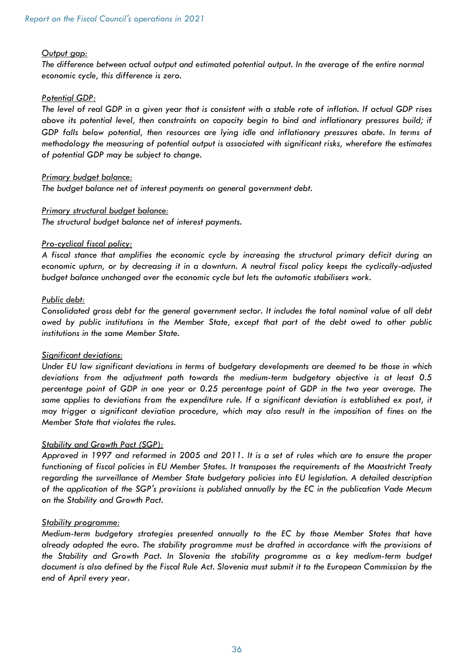#### Output gap:

The difference between actual output and estimated potential output. In the average of the entire normal economic cycle, this difference is zero.

# Potential GDP:

The level of real GDP in a given year that is consistent with a stable rate of inflation. If actual GDP rises above its potential level, then constraints on capacity begin to bind and inflationary pressures build; if GDP falls below potential, then resources are lying idle and inflationary pressures abate. In terms of methodology the measuring of potential output is associated with significant risks, wherefore the estimates of potential GDP may be subject to change.

# Primary budget balance:

The budget balance net of interest payments on general government debt.

# Primary structural budget balance:

The structural budget balance net of interest payments.

# Pro-cyclical fiscal policy:

A fiscal stance that amplifies the economic cycle by increasing the structural primary deficit during an economic upturn, or by decreasing it in a downturn. A neutral fiscal policy keeps the cyclically-adjusted budget balance unchanged over the economic cycle but lets the automatic stabilisers work.

# Public debt:

Consolidated gross debt for the general government sector. It includes the total nominal value of all debt owed by public institutions in the Member State, except that part of the debt owed to other public institutions in the same Member State.

#### Significant deviations:

Under EU law significant deviations in terms of budgetary developments are deemed to be those in which deviations from the adjustment path towards the medium-term budgetary objective is at least 0.5 percentage point of GDP in one year or 0.25 percentage point of GDP in the two year average. The same applies to deviations from the expenditure rule. If a significant deviation is established ex post, it may trigger a significant deviation procedure, which may also result in the imposition of fines on the Member State that violates the rules.

#### Stability and Growth Pact (SGP):

Approved in 1997 and reformed in 2005 and 2011. It is a set of rules which are to ensure the proper functioning of fiscal policies in EU Member States. It transposes the requirements of the Maastricht Treaty regarding the surveillance of Member State budgetary policies into EU legislation. A detailed description of the application of the SGP's provisions is published annually by the EC in the publication Vade Mecum on the Stability and Growth Pact.

#### Stability programme:

Medium-term budgetary strategies presented annually to the EC by those Member States that have already adopted the euro. The stability programme must be drafted in accordance with the provisions of the Stability and Growth Pact. In Slovenia the stability programme as a key medium-term budget document is also defined by the Fiscal Rule Act. Slovenia must submit it to the European Commission by the end of April every year.